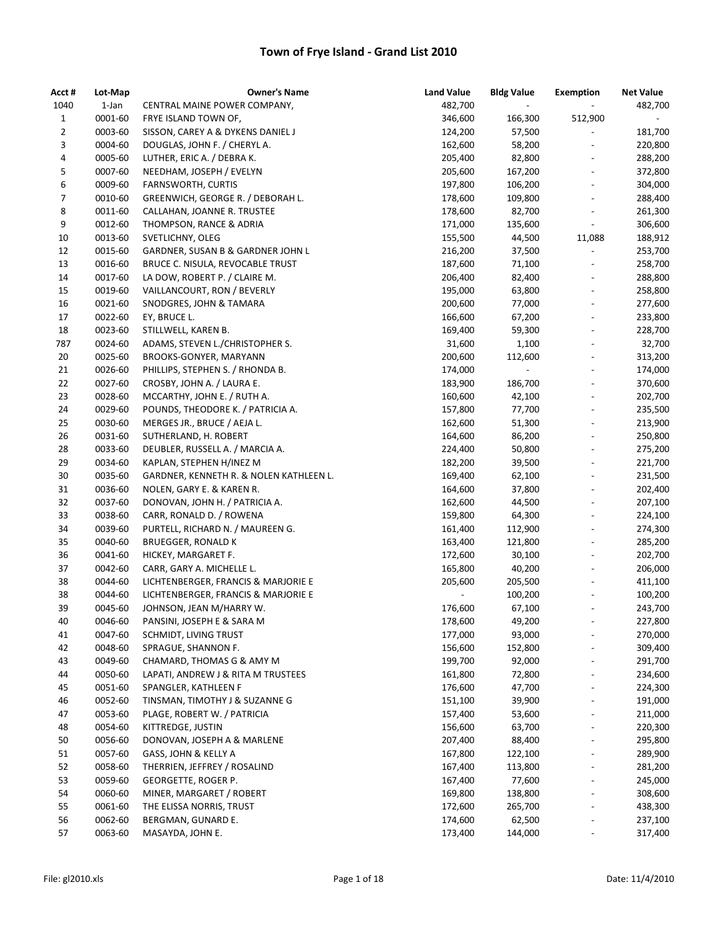| Acct #       | Lot-Map            | <b>Owner's Name</b>                                 | <b>Land Value</b>  | <b>Bldg Value</b>        | <b>Exemption</b>         | <b>Net Value</b>   |
|--------------|--------------------|-----------------------------------------------------|--------------------|--------------------------|--------------------------|--------------------|
| 1040         | 1-Jan              | CENTRAL MAINE POWER COMPANY,                        | 482,700            | $\overline{\phantom{a}}$ |                          | 482,700            |
| $\mathbf{1}$ | 0001-60            | FRYE ISLAND TOWN OF,                                | 346,600            | 166,300                  | 512,900                  | $\sim$             |
| 2            | 0003-60            | SISSON, CAREY A & DYKENS DANIEL J                   | 124,200            | 57,500                   | $\blacksquare$           | 181,700            |
| 3            | 0004-60            | DOUGLAS, JOHN F. / CHERYL A.                        | 162,600            | 58,200                   | $\overline{\phantom{a}}$ | 220,800            |
| 4            | 0005-60            | LUTHER, ERIC A. / DEBRA K.                          | 205,400            | 82,800                   | $\overline{\phantom{a}}$ | 288,200            |
| 5            | 0007-60            | NEEDHAM, JOSEPH / EVELYN                            | 205,600            | 167,200                  |                          | 372,800            |
| 6            | 0009-60            | FARNSWORTH, CURTIS                                  | 197,800            | 106,200                  |                          | 304,000            |
| 7            | 0010-60            | GREENWICH, GEORGE R. / DEBORAH L.                   | 178,600            | 109,800                  | $\overline{\phantom{a}}$ | 288,400            |
| 8            | 0011-60            | CALLAHAN, JOANNE R. TRUSTEE                         | 178,600            | 82,700                   | $\overline{\phantom{a}}$ | 261,300            |
| 9            | 0012-60            | THOMPSON, RANCE & ADRIA                             | 171,000            | 135,600                  | $\overline{\phantom{a}}$ | 306,600            |
| 10           | 0013-60            | SVETLICHNY, OLEG                                    | 155,500            | 44,500                   | 11,088                   | 188,912            |
| 12           | 0015-60            | GARDNER, SUSAN B & GARDNER JOHN L                   | 216,200            | 37,500                   | $\overline{\phantom{a}}$ | 253,700            |
| 13           | 0016-60            | BRUCE C. NISULA, REVOCABLE TRUST                    | 187,600            | 71,100                   | $\overline{\phantom{a}}$ | 258,700            |
| 14           | 0017-60            | LA DOW, ROBERT P. / CLAIRE M.                       | 206,400            | 82,400                   | $\overline{\phantom{a}}$ | 288,800            |
| 15           | 0019-60            | VAILLANCOURT, RON / BEVERLY                         | 195,000            | 63,800                   |                          | 258,800            |
| 16           | 0021-60            | SNODGRES, JOHN & TAMARA                             | 200,600            | 77,000                   | $\overline{\phantom{a}}$ | 277,600            |
| 17           | 0022-60            | EY, BRUCE L.                                        | 166,600            | 67,200                   |                          | 233,800            |
| 18           | 0023-60            | STILLWELL, KAREN B.                                 | 169,400            | 59,300                   | $\overline{\phantom{a}}$ | 228,700            |
| 787          | 0024-60            | ADAMS, STEVEN L./CHRISTOPHER S.                     | 31,600             | 1,100                    | $\overline{\phantom{a}}$ | 32,700             |
| 20           | 0025-60            | BROOKS-GONYER, MARYANN                              | 200,600            | 112,600                  |                          | 313,200            |
| 21           | 0026-60            | PHILLIPS, STEPHEN S. / RHONDA B.                    | 174,000            | $\blacksquare$           | $\overline{\phantom{a}}$ | 174,000            |
| 22           | 0027-60            | CROSBY, JOHN A. / LAURA E.                          | 183,900            | 186,700                  | $\overline{\phantom{a}}$ | 370,600            |
| 23           | 0028-60            | MCCARTHY, JOHN E. / RUTH A.                         | 160,600            | 42,100                   | $\overline{\phantom{a}}$ | 202,700            |
| 24           | 0029-60            | POUNDS, THEODORE K. / PATRICIA A.                   | 157,800            | 77,700                   |                          | 235,500            |
| 25           | 0030-60            | MERGES JR., BRUCE / AEJA L.                         | 162,600            | 51,300                   | $\overline{\phantom{a}}$ | 213,900            |
| 26           | 0031-60            | SUTHERLAND, H. ROBERT                               | 164,600            | 86,200                   | $\overline{\phantom{a}}$ | 250,800            |
| 28           | 0033-60            | DEUBLER, RUSSELL A. / MARCIA A.                     | 224,400            | 50,800                   | $\overline{\phantom{a}}$ | 275,200            |
| 29           | 0034-60            | KAPLAN, STEPHEN H/INEZ M                            | 182,200            | 39,500                   | $\overline{\phantom{a}}$ | 221,700            |
| 30           | 0035-60            | GARDNER, KENNETH R. & NOLEN KATHLEEN L.             | 169,400            | 62,100                   | $\overline{\phantom{a}}$ | 231,500            |
| 31           | 0036-60            | NOLEN, GARY E. & KAREN R.                           | 164,600            | 37,800                   | $\overline{\phantom{a}}$ | 202,400            |
| 32           | 0037-60            | DONOVAN, JOHN H. / PATRICIA A.                      | 162,600            | 44,500                   |                          | 207,100            |
| 33           | 0038-60            | CARR, RONALD D. / ROWENA                            | 159,800            | 64,300                   |                          | 224,100            |
| 34           | 0039-60            | PURTELL, RICHARD N. / MAUREEN G.                    | 161,400            | 112,900                  | $\overline{\phantom{a}}$ | 274,300            |
| 35           | 0040-60            | <b>BRUEGGER, RONALD K</b>                           | 163,400            | 121,800                  |                          | 285,200            |
| 36           | 0041-60            | HICKEY, MARGARET F.                                 | 172,600            | 30,100                   | $\overline{\phantom{a}}$ | 202,700            |
| 37           | 0042-60            | CARR, GARY A. MICHELLE L.                           | 165,800            | 40,200                   | $\overline{\phantom{a}}$ | 206,000            |
| 38           | 0044-60            | LICHTENBERGER, FRANCIS & MARJORIE E                 | 205,600            | 205,500                  | $\overline{\phantom{a}}$ | 411,100            |
| 38           | 0044-60            | LICHTENBERGER, FRANCIS & MARJORIE E                 |                    | 100,200                  |                          | 100,200            |
| 39           | 0045-60            | JOHNSON, JEAN M/HARRY W.                            | 176,600            | 67,100                   |                          | 243,700            |
| 40           | 0046-60            | PANSINI, JOSEPH E & SARA M                          | 178,600            | 49,200                   |                          | 227,800            |
| 41           | 0047-60            | SCHMIDT, LIVING TRUST                               | 177,000            | 93,000                   |                          | 270,000            |
| 42           | 0048-60            | SPRAGUE, SHANNON F.                                 | 156,600            | 152,800                  |                          | 309,400            |
| 43           | 0049-60            | CHAMARD, THOMAS G & AMY M                           | 199,700            | 92,000                   |                          | 291,700            |
| 44           | 0050-60            | LAPATI, ANDREW J & RITA M TRUSTEES                  | 161,800            | 72,800                   |                          | 234,600            |
| 45           | 0051-60            | SPANGLER, KATHLEEN F                                | 176,600            | 47,700                   |                          | 224,300            |
| 46           | 0052-60            | TINSMAN, TIMOTHY J & SUZANNE G                      | 151,100            | 39,900                   |                          | 191,000            |
| 47           | 0053-60            | PLAGE, ROBERT W. / PATRICIA                         | 157,400            | 53,600                   |                          | 211,000            |
| 48           | 0054-60            | KITTREDGE, JUSTIN                                   | 156,600            | 63,700                   |                          | 220,300            |
| 50           | 0056-60            | DONOVAN, JOSEPH A & MARLENE                         | 207,400            | 88,400                   |                          | 295,800            |
| 51           | 0057-60            | GASS, JOHN & KELLY A                                | 167,800            | 122,100                  |                          | 289,900            |
|              |                    |                                                     |                    |                          |                          |                    |
| 52<br>53     | 0058-60<br>0059-60 | THERRIEN, JEFFREY / ROSALIND<br>GEORGETTE, ROGER P. | 167,400<br>167,400 | 113,800<br>77,600        |                          | 281,200<br>245,000 |
|              | 0060-60            |                                                     |                    |                          |                          |                    |
| 54           |                    | MINER, MARGARET / ROBERT                            | 169,800            | 138,800                  |                          | 308,600            |
| 55           | 0061-60<br>0062-60 | THE ELISSA NORRIS, TRUST                            | 172,600            | 265,700                  |                          | 438,300            |
| 56           |                    | BERGMAN, GUNARD E.                                  | 174,600            | 62,500                   |                          | 237,100            |
| 57           | 0063-60            | MASAYDA, JOHN E.                                    | 173,400            | 144,000                  |                          | 317,400            |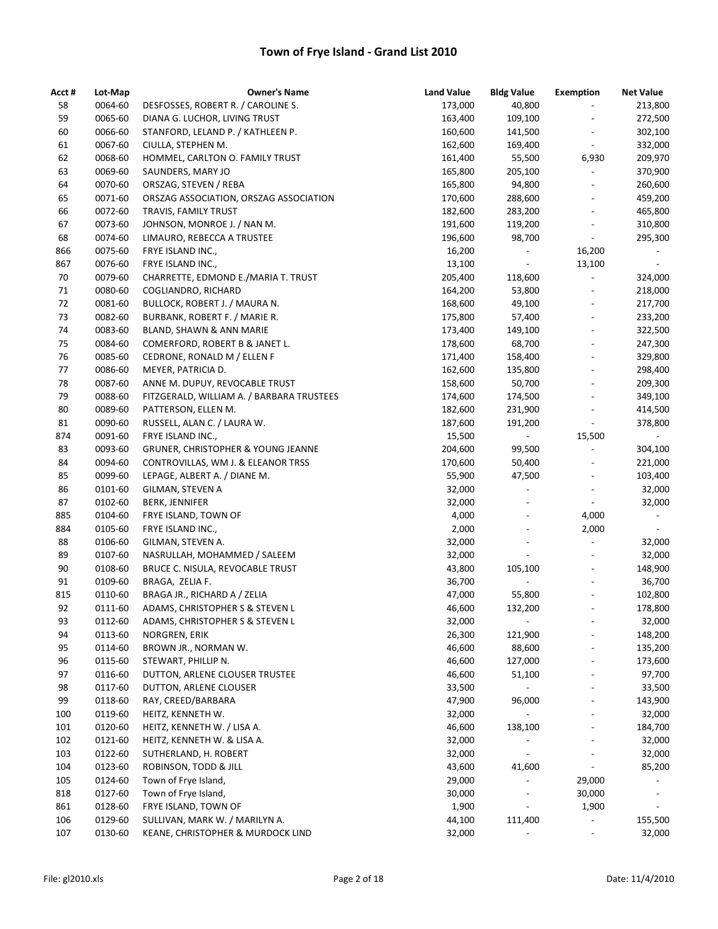| Acct # | Lot-Map | <b>Owner's Name</b>                       | <b>Land Value</b> | <b>Bldg Value</b>            | <b>Exemption</b>             | <b>Net Value</b>         |
|--------|---------|-------------------------------------------|-------------------|------------------------------|------------------------------|--------------------------|
| 58     | 0064-60 | DESFOSSES, ROBERT R. / CAROLINE S.        | 173,000           | 40,800                       | $\qquad \qquad \blacksquare$ | 213,800                  |
| 59     | 0065-60 | DIANA G. LUCHOR, LIVING TRUST             | 163,400           | 109,100                      | $\overline{\phantom{a}}$     | 272,500                  |
| 60     | 0066-60 | STANFORD, LELAND P. / KATHLEEN P.         | 160,600           | 141,500                      | $\overline{\phantom{a}}$     | 302,100                  |
| 61     | 0067-60 | CIULLA, STEPHEN M.                        | 162,600           | 169,400                      | $\overline{\phantom{a}}$     | 332,000                  |
| 62     | 0068-60 | HOMMEL, CARLTON O. FAMILY TRUST           | 161,400           | 55,500                       | 6,930                        | 209,970                  |
| 63     | 0069-60 | SAUNDERS, MARY JO                         | 165,800           | 205,100                      | $\overline{\phantom{a}}$     | 370,900                  |
| 64     | 0070-60 | ORSZAG, STEVEN / REBA                     | 165,800           | 94,800                       | $\overline{\phantom{a}}$     | 260,600                  |
| 65     | 0071-60 | ORSZAG ASSOCIATION, ORSZAG ASSOCIATION    | 170,600           | 288,600                      | $\overline{\phantom{a}}$     | 459,200                  |
| 66     | 0072-60 | TRAVIS, FAMILY TRUST                      | 182,600           | 283,200                      | $\overline{\phantom{a}}$     | 465,800                  |
| 67     | 0073-60 | JOHNSON, MONROE J. / NAN M.               | 191,600           | 119,200                      | $\overline{\phantom{a}}$     | 310,800                  |
| 68     | 0074-60 | LIMAURO, REBECCA A TRUSTEE                | 196,600           | 98,700                       | $\overline{\phantom{a}}$     | 295,300                  |
| 866    | 0075-60 | FRYE ISLAND INC.,                         | 16,200            |                              | 16,200                       |                          |
| 867    | 0076-60 | FRYE ISLAND INC.,                         | 13,100            |                              | 13,100                       | $\overline{\phantom{a}}$ |
| 70     | 0079-60 | CHARRETTE, EDMOND E./MARIA T. TRUST       | 205,400           | 118,600                      | $\overline{\phantom{a}}$     | 324,000                  |
| 71     | 0080-60 | COGLIANDRO, RICHARD                       | 164,200           | 53,800                       | $\overline{\phantom{a}}$     | 218,000                  |
| 72     | 0081-60 | BULLOCK, ROBERT J. / MAURA N.             | 168,600           | 49,100                       | $\frac{1}{2}$                | 217,700                  |
| 73     | 0082-60 | <b>BURBANK, ROBERT F. / MARIE R.</b>      | 175,800           | 57,400                       | $\frac{1}{2}$                | 233,200                  |
| 74     | 0083-60 | BLAND, SHAWN & ANN MARIE                  | 173,400           | 149,100                      | $\qquad \qquad \blacksquare$ | 322,500                  |
| 75     | 0084-60 | COMERFORD, ROBERT B & JANET L.            | 178,600           | 68,700                       | $\overline{\phantom{a}}$     | 247,300                  |
| 76     | 0085-60 | CEDRONE, RONALD M / ELLEN F               | 171,400           | 158,400                      | $\overline{\phantom{a}}$     | 329,800                  |
| 77     | 0086-60 | MEYER, PATRICIA D.                        | 162,600           | 135,800                      | $\overline{\phantom{a}}$     | 298,400                  |
| 78     | 0087-60 | ANNE M. DUPUY, REVOCABLE TRUST            | 158,600           | 50,700                       | $\overline{a}$               | 209,300                  |
| 79     | 0088-60 | FITZGERALD, WILLIAM A. / BARBARA TRUSTEES | 174,600           | 174,500                      | $\overline{\phantom{a}}$     | 349,100                  |
| 80     | 0089-60 | PATTERSON, ELLEN M.                       | 182,600           | 231,900                      | $\overline{\phantom{a}}$     | 414,500                  |
| 81     | 0090-60 | RUSSELL, ALAN C. / LAURA W.               | 187,600           | 191,200                      | $\overline{\phantom{a}}$     | 378,800                  |
| 874    | 0091-60 | FRYE ISLAND INC.,                         | 15,500            | $\sim 10$                    | 15,500                       | $\sim$                   |
| 83     | 0093-60 | GRUNER, CHRISTOPHER & YOUNG JEANNE        | 204,600           | 99,500                       | $\blacksquare$               | 304,100                  |
| 84     | 0094-60 | CONTROVILLAS, WM J. & ELEANOR TRSS        | 170,600           | 50,400                       | $\overline{\phantom{a}}$     | 221,000                  |
| 85     | 0099-60 | LEPAGE, ALBERT A. / DIANE M.              | 55,900            | 47,500                       | $\overline{\phantom{0}}$     | 103,400                  |
| 86     | 0101-60 | GILMAN, STEVEN A                          | 32,000            | $\frac{1}{2}$                | $\blacksquare$               | 32,000                   |
| 87     | 0102-60 | <b>BERK, JENNIFER</b>                     | 32,000            | $\overline{\phantom{a}}$     | $\overline{\phantom{a}}$     | 32,000                   |
| 885    | 0104-60 | FRYE ISLAND, TOWN OF                      | 4,000             | $\overline{\phantom{a}}$     | 4,000                        | $\overline{\phantom{a}}$ |
| 884    | 0105-60 | FRYE ISLAND INC.,                         | 2,000             | $\overline{\phantom{a}}$     | 2,000                        |                          |
| 88     | 0106-60 | GILMAN, STEVEN A.                         | 32,000            | $\overline{\phantom{a}}$     | $\Box$                       | 32,000                   |
| 89     | 0107-60 | NASRULLAH, MOHAMMED / SALEEM              | 32,000            | $\frac{1}{2}$                | $\overline{\phantom{a}}$     | 32,000                   |
| 90     | 0108-60 | BRUCE C. NISULA, REVOCABLE TRUST          | 43,800            | 105,100                      | $\overline{\phantom{a}}$     | 148,900                  |
| 91     | 0109-60 | BRAGA, ZELIA F.                           | 36,700            |                              | $\overline{\phantom{a}}$     | 36,700                   |
| 815    | 0110-60 | BRAGA JR., RICHARD A / ZELIA              | 47,000            | 55,800                       | $\frac{1}{2}$                | 102,800                  |
| 92     | 0111-60 | ADAMS, CHRISTOPHER S & STEVEN L           | 46,600            | 132,200                      |                              | 178,800                  |
| 93     | 0112-60 | ADAMS, CHRISTOPHER S & STEVEN L           | 32,000            | $\overline{\phantom{a}}$     |                              | 32,000                   |
| 94     | 0113-60 | NORGREN, ERIK                             | 26,300            | 121,900                      |                              | 148,200                  |
| 95     | 0114-60 | BROWN JR., NORMAN W.                      | 46,600            | 88,600                       |                              | 135,200                  |
| 96     | 0115-60 | STEWART, PHILLIP N.                       | 46,600            | 127,000                      |                              | 173,600                  |
| 97     | 0116-60 | DUTTON, ARLENE CLOUSER TRUSTEE            | 46,600            | 51,100                       | $\overline{\phantom{0}}$     | 97,700                   |
| 98     | 0117-60 | DUTTON, ARLENE CLOUSER                    | 33,500            |                              |                              | 33,500                   |
| 99     | 0118-60 | RAY, CREED/BARBARA                        | 47,900            | 96,000                       |                              | 143,900                  |
| 100    | 0119-60 | HEITZ, KENNETH W.                         | 32,000            |                              |                              | 32,000                   |
| 101    | 0120-60 | HEITZ, KENNETH W. / LISA A.               | 46,600            | 138,100                      | $\qquad \qquad \blacksquare$ | 184,700                  |
| 102    | 0121-60 | HEITZ, KENNETH W. & LISA A.               | 32,000            |                              | $\qquad \qquad \blacksquare$ | 32,000                   |
| 103    | 0122-60 | SUTHERLAND, H. ROBERT                     | 32,000            | $\overline{\phantom{a}}$     | $\overline{a}$               | 32,000                   |
| 104    | 0123-60 | ROBINSON, TODD & JILL                     | 43,600            | 41,600                       | $\overline{\phantom{a}}$     | 85,200                   |
| 105    | 0124-60 | Town of Frye Island,                      | 29,000            |                              | 29,000                       |                          |
| 818    | 0127-60 | Town of Frye Island,                      | 30,000            | $\qquad \qquad \blacksquare$ | 30,000                       | $\overline{\phantom{a}}$ |
| 861    | 0128-60 | FRYE ISLAND, TOWN OF                      | 1,900             |                              | 1,900                        |                          |
| 106    | 0129-60 | SULLIVAN, MARK W. / MARILYN A.            | 44,100            | 111,400                      | $\overline{\phantom{0}}$     | 155,500                  |
| 107    | 0130-60 | KEANE, CHRISTOPHER & MURDOCK LIND         | 32,000            |                              | $\frac{1}{2}$                | 32,000                   |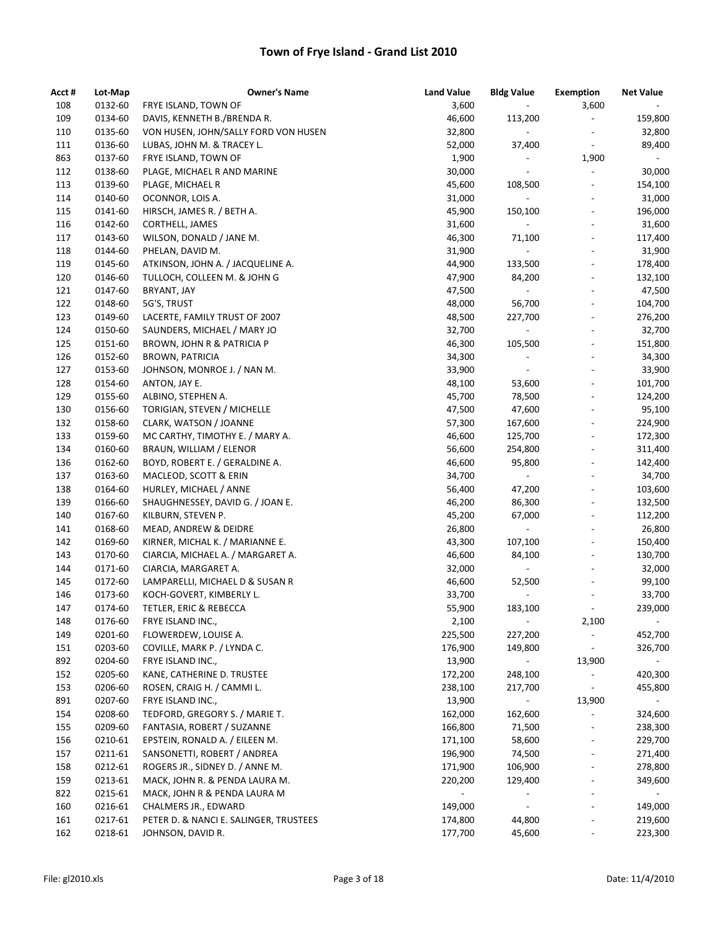| Acct #     | Lot-Map | <b>Owner's Name</b>                                         | <b>Land Value</b> | <b>Bldg Value</b>        | <b>Exemption</b>             | <b>Net Value</b> |
|------------|---------|-------------------------------------------------------------|-------------------|--------------------------|------------------------------|------------------|
| 108        | 0132-60 | FRYE ISLAND, TOWN OF                                        | 3,600             | $\overline{\phantom{a}}$ | 3,600                        |                  |
| 109        | 0134-60 | DAVIS, KENNETH B./BRENDA R.                                 | 46,600            | 113,200                  | $\blacksquare$               | 159,800          |
| 110        | 0135-60 | VON HUSEN, JOHN/SALLY FORD VON HUSEN                        | 32,800            | ÷.                       | $\overline{\phantom{a}}$     | 32,800           |
| 111        | 0136-60 | LUBAS, JOHN M. & TRACEY L.                                  | 52,000            | 37,400                   | $\overline{\phantom{a}}$     | 89,400           |
| 863        | 0137-60 | FRYE ISLAND, TOWN OF                                        | 1,900             | $\overline{\phantom{a}}$ | 1,900                        | $\blacksquare$   |
| 112        | 0138-60 | PLAGE, MICHAEL R AND MARINE                                 | 30,000            | $\overline{\phantom{a}}$ | $\overline{\phantom{a}}$     | 30,000           |
| 113        | 0139-60 | PLAGE, MICHAEL R                                            | 45,600            | 108,500                  | $\qquad \qquad \blacksquare$ | 154,100          |
| 114        | 0140-60 | OCONNOR, LOIS A.                                            | 31,000            | $\overline{\phantom{a}}$ |                              | 31,000           |
| 115        | 0141-60 | HIRSCH, JAMES R. / BETH A.                                  | 45,900            | 150,100                  | $\overline{\phantom{a}}$     | 196,000          |
| 116        | 0142-60 | CORTHELL, JAMES                                             | 31,600            | $\overline{\phantom{a}}$ | $\overline{\phantom{a}}$     | 31,600           |
| 117        | 0143-60 | WILSON, DONALD / JANE M.                                    | 46,300            | 71,100                   | $\overline{\phantom{a}}$     | 117,400          |
| 118        | 0144-60 | PHELAN, DAVID M.                                            | 31,900            | $\blacksquare$           | $\qquad \qquad \blacksquare$ | 31,900           |
| 119        | 0145-60 | ATKINSON, JOHN A. / JACQUELINE A.                           | 44,900            | 133,500                  | $\overline{\phantom{a}}$     | 178,400          |
| 120        | 0146-60 | TULLOCH, COLLEEN M. & JOHN G                                | 47,900            | 84,200                   | $\overline{\phantom{a}}$     | 132,100          |
| 121        | 0147-60 | BRYANT, JAY                                                 | 47,500            |                          | $\qquad \qquad \blacksquare$ | 47,500           |
| 122        | 0148-60 | 5G'S, TRUST                                                 | 48,000            | 56,700                   |                              | 104,700          |
| 123        | 0149-60 | LACERTE, FAMILY TRUST OF 2007                               | 48,500            | 227,700                  | $\overline{\phantom{a}}$     | 276,200          |
| 124        | 0150-60 | SAUNDERS, MICHAEL / MARY JO                                 | 32,700            | $\overline{\phantom{a}}$ | $\qquad \qquad \blacksquare$ | 32,700           |
| 125        | 0151-60 | BROWN, JOHN R & PATRICIA P                                  | 46,300            | 105,500                  | $\frac{1}{2}$                | 151,800          |
| 126        | 0152-60 | <b>BROWN, PATRICIA</b>                                      | 34,300            | $\qquad \qquad -$        | $\overline{a}$               | 34,300           |
| 127        | 0153-60 | JOHNSON, MONROE J. / NAN M.                                 | 33,900            | $\blacksquare$           | $\overline{\phantom{a}}$     | 33,900           |
| 128        | 0154-60 | ANTON, JAY E.                                               | 48,100            | 53,600                   | $\overline{\phantom{a}}$     | 101,700          |
| 129        | 0155-60 | ALBINO, STEPHEN A.                                          | 45,700            | 78,500                   | $\qquad \qquad \blacksquare$ | 124,200          |
| 130        | 0156-60 | TORIGIAN, STEVEN / MICHELLE                                 | 47,500            | 47,600                   |                              | 95,100           |
| 132        | 0158-60 | CLARK, WATSON / JOANNE                                      | 57,300            | 167,600                  | $\overline{\phantom{a}}$     | 224,900          |
| 133        | 0159-60 | MC CARTHY, TIMOTHY E. / MARY A.                             | 46,600            | 125,700                  | $\overline{\phantom{a}}$     | 172,300          |
| 134        | 0160-60 | BRAUN, WILLIAM / ELENOR                                     | 56,600            | 254,800                  | $\overline{\phantom{a}}$     | 311,400          |
| 136        | 0162-60 | BOYD, ROBERT E. / GERALDINE A.                              | 46,600            | 95,800                   | $\overline{\phantom{a}}$     | 142,400          |
| 137        | 0163-60 | MACLEOD, SCOTT & ERIN                                       | 34,700            | $\overline{\phantom{a}}$ | $\overline{\phantom{a}}$     | 34,700           |
| 138        | 0164-60 | HURLEY, MICHAEL / ANNE                                      | 56,400            | 47,200                   | $\overline{\phantom{a}}$     | 103,600          |
| 139        | 0166-60 | SHAUGHNESSEY, DAVID G. / JOAN E.                            | 46,200            | 86,300                   |                              | 132,500          |
| 140        | 0167-60 | KILBURN, STEVEN P.                                          | 45,200            | 67,000                   | $\overline{\phantom{a}}$     | 112,200          |
| 141        | 0168-60 | MEAD, ANDREW & DEIDRE                                       | 26,800            | $\blacksquare$           |                              | 26,800           |
| 142        | 0169-60 | KIRNER, MICHAL K. / MARIANNE E.                             | 43,300            | 107,100                  | $\overline{\phantom{a}}$     | 150,400          |
| 143        | 0170-60 | CIARCIA, MICHAEL A. / MARGARET A.                           | 46,600            | 84,100                   | $\qquad \qquad \blacksquare$ | 130,700          |
| 144        | 0171-60 | CIARCIA, MARGARET A.                                        | 32,000            | $\blacksquare$           | $\overline{\phantom{a}}$     | 32,000           |
| 145        | 0172-60 |                                                             | 46,600            | 52,500                   |                              | 99,100           |
| 146        | 0173-60 | LAMPARELLI, MICHAEL D & SUSAN R<br>KOCH-GOVERT, KIMBERLY L. | 33,700            | $\frac{1}{2}$            | $\overline{\phantom{a}}$     | 33,700           |
| 147        | 0174-60 |                                                             | 55,900            | 183,100                  |                              |                  |
|            |         | TETLER, ERIC & REBECCA                                      |                   |                          |                              | 239,000          |
| 148<br>149 | 0176-60 | FRYE ISLAND INC.,                                           | 2,100             |                          | 2,100                        |                  |
|            | 0201-60 | FLOWERDEW, LOUISE A.                                        | 225,500           | 227,200                  |                              | 452,700          |
| 151        | 0203-60 | COVILLE, MARK P. / LYNDA C.                                 | 176,900           | 149,800                  | $\overline{\phantom{a}}$     | 326,700          |
| 892        | 0204-60 | FRYE ISLAND INC.,                                           | 13,900            | $\sim$                   | 13,900                       |                  |
| 152        | 0205-60 | KANE, CATHERINE D. TRUSTEE                                  | 172,200           | 248,100                  | $\overline{\phantom{a}}$     | 420,300          |
| 153        | 0206-60 | ROSEN, CRAIG H. / CAMMI L.                                  | 238,100           | 217,700                  | $\overline{\phantom{a}}$     | 455,800          |
| 891        | 0207-60 | FRYE ISLAND INC.,                                           | 13,900            | $\blacksquare$           | 13,900                       | $\sim$           |
| 154        | 0208-60 | TEDFORD, GREGORY S. / MARIE T.                              | 162,000           | 162,600                  |                              | 324,600          |
| 155        | 0209-60 | FANTASIA, ROBERT / SUZANNE                                  | 166,800           | 71,500                   |                              | 238,300          |
| 156        | 0210-61 | EPSTEIN, RONALD A. / EILEEN M.                              | 171,100           | 58,600                   |                              | 229,700          |
| 157        | 0211-61 | SANSONETTI, ROBERT / ANDREA                                 | 196,900           | 74,500                   | $\overline{\phantom{a}}$     | 271,400          |
| 158        | 0212-61 | ROGERS JR., SIDNEY D. / ANNE M.                             | 171,900           | 106,900                  | $\overline{\phantom{a}}$     | 278,800          |
| 159        | 0213-61 | MACK, JOHN R. & PENDA LAURA M.                              | 220,200           | 129,400                  | $\qquad \qquad \blacksquare$ | 349,600          |
| 822        | 0215-61 | MACK, JOHN R & PENDA LAURA M                                | $\sim$            |                          |                              |                  |
| 160        | 0216-61 | CHALMERS JR., EDWARD                                        | 149,000           | $\overline{\phantom{a}}$ | $\overline{\phantom{a}}$     | 149,000          |
| 161        | 0217-61 | PETER D. & NANCI E. SALINGER, TRUSTEES                      | 174,800           | 44,800                   |                              | 219,600          |
| 162        | 0218-61 | JOHNSON, DAVID R.                                           | 177,700           | 45,600                   |                              | 223,300          |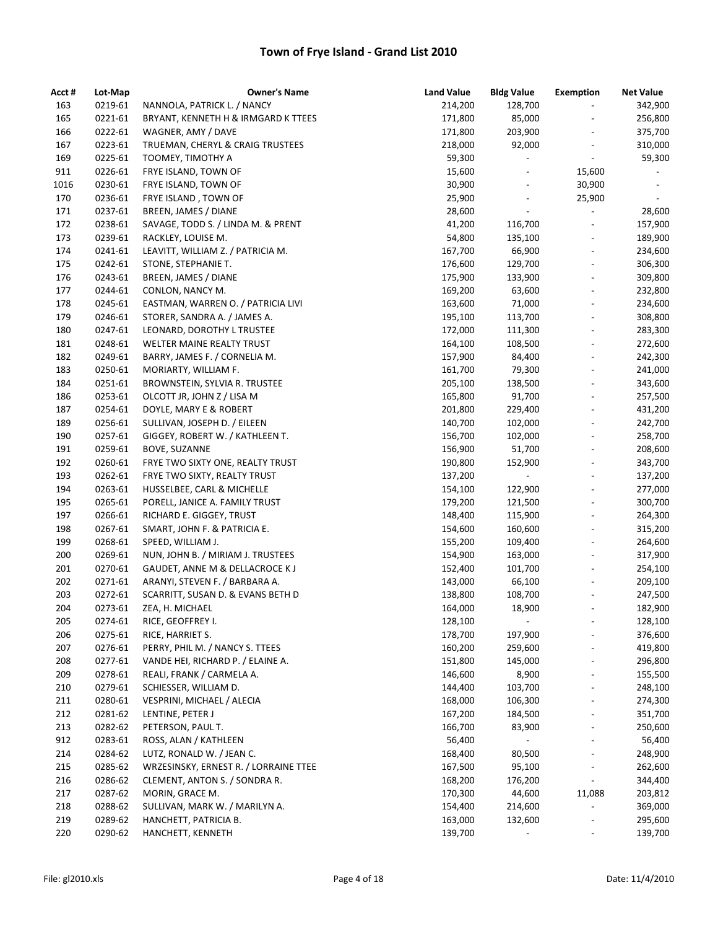| Acct # | Lot-Map | <b>Owner's Name</b>                   | <b>Land Value</b> | <b>Bldg Value</b>        | <b>Exemption</b>         | <b>Net Value</b>         |
|--------|---------|---------------------------------------|-------------------|--------------------------|--------------------------|--------------------------|
| 163    | 0219-61 | NANNOLA, PATRICK L. / NANCY           | 214,200           | 128,700                  | $\overline{\phantom{a}}$ | 342,900                  |
| 165    | 0221-61 | BRYANT, KENNETH H & IRMGARD K TTEES   | 171,800           | 85,000                   | $\overline{a}$           | 256,800                  |
| 166    | 0222-61 | WAGNER, AMY / DAVE                    | 171,800           | 203,900                  | $\frac{1}{2}$            | 375,700                  |
| 167    | 0223-61 | TRUEMAN, CHERYL & CRAIG TRUSTEES      | 218,000           | 92,000                   | $\overline{a}$           | 310,000                  |
| 169    | 0225-61 | TOOMEY, TIMOTHY A                     | 59,300            | $\overline{\phantom{a}}$ | $\overline{\phantom{a}}$ | 59,300                   |
| 911    | 0226-61 | FRYE ISLAND, TOWN OF                  | 15,600            |                          | 15,600                   | $\overline{\phantom{a}}$ |
| 1016   | 0230-61 | FRYE ISLAND, TOWN OF                  | 30,900            |                          | 30,900                   | $\overline{\phantom{a}}$ |
| 170    | 0236-61 | FRYE ISLAND, TOWN OF                  | 25,900            | $\overline{\phantom{a}}$ | 25,900                   | $\overline{\phantom{a}}$ |
| 171    | 0237-61 | BREEN, JAMES / DIANE                  | 28,600            | $\overline{\phantom{a}}$ | $\overline{\phantom{a}}$ | 28,600                   |
| 172    | 0238-61 | SAVAGE, TODD S. / LINDA M. & PRENT    | 41,200            | 116,700                  | $\overline{\phantom{a}}$ | 157,900                  |
| 173    | 0239-61 | RACKLEY, LOUISE M.                    | 54,800            | 135,100                  | $\frac{1}{2}$            | 189,900                  |
| 174    | 0241-61 | LEAVITT, WILLIAM Z. / PATRICIA M.     | 167,700           | 66,900                   | $\overline{\phantom{a}}$ | 234,600                  |
| 175    | 0242-61 | STONE, STEPHANIE T.                   | 176,600           | 129,700                  | $\frac{1}{2}$            | 306,300                  |
| 176    | 0243-61 | BREEN, JAMES / DIANE                  | 175,900           | 133,900                  | $\frac{1}{2}$            | 309,800                  |
| 177    | 0244-61 | CONLON, NANCY M.                      | 169,200           | 63,600                   | $\overline{a}$           | 232,800                  |
| 178    | 0245-61 | EASTMAN, WARREN O. / PATRICIA LIVI    | 163,600           | 71,000                   | $\overline{\phantom{a}}$ | 234,600                  |
| 179    | 0246-61 | STORER, SANDRA A. / JAMES A.          | 195,100           | 113,700                  | $\overline{a}$           | 308,800                  |
| 180    | 0247-61 | LEONARD, DOROTHY L TRUSTEE            | 172,000           | 111,300                  | $\overline{a}$           | 283,300                  |
| 181    | 0248-61 | WELTER MAINE REALTY TRUST             | 164,100           | 108,500                  | $\frac{1}{2}$            | 272,600                  |
| 182    | 0249-61 | BARRY, JAMES F. / CORNELIA M.         | 157,900           | 84,400                   | $\overline{a}$           | 242,300                  |
| 183    | 0250-61 | MORIARTY, WILLIAM F.                  | 161,700           | 79,300                   | $\overline{a}$           | 241,000                  |
| 184    | 0251-61 | BROWNSTEIN, SYLVIA R. TRUSTEE         | 205,100           | 138,500                  | $\overline{a}$           | 343,600                  |
| 186    | 0253-61 | OLCOTT JR, JOHN Z / LISA M            | 165,800           | 91,700                   | $\overline{a}$           | 257,500                  |
| 187    | 0254-61 | DOYLE, MARY E & ROBERT                | 201,800           | 229,400                  | $\overline{a}$           | 431,200                  |
| 189    | 0256-61 | SULLIVAN, JOSEPH D. / EILEEN          | 140,700           | 102,000                  | $\overline{a}$           | 242,700                  |
| 190    | 0257-61 | GIGGEY, ROBERT W. / KATHLEEN T.       | 156,700           | 102,000                  | $\overline{a}$           | 258,700                  |
| 191    | 0259-61 | BOVE, SUZANNE                         | 156,900           | 51,700                   | $\overline{a}$           | 208,600                  |
| 192    | 0260-61 | FRYE TWO SIXTY ONE, REALTY TRUST      | 190,800           | 152,900                  | $\frac{1}{2}$            | 343,700                  |
| 193    | 0262-61 | FRYE TWO SIXTY, REALTY TRUST          | 137,200           |                          | $\frac{1}{2}$            | 137,200                  |
| 194    | 0263-61 | HUSSELBEE, CARL & MICHELLE            | 154,100           | 122,900                  | $\overline{a}$           | 277,000                  |
| 195    | 0265-61 | PORELL, JANICE A. FAMILY TRUST        | 179,200           | 121,500                  | $\frac{1}{2}$            | 300,700                  |
| 197    | 0266-61 | RICHARD E. GIGGEY, TRUST              | 148,400           | 115,900                  | $\frac{1}{2}$            | 264,300                  |
| 198    | 0267-61 | SMART, JOHN F. & PATRICIA E.          | 154,600           | 160,600                  | $\overline{a}$           | 315,200                  |
| 199    | 0268-61 | SPEED, WILLIAM J.                     | 155,200           | 109,400                  | $\overline{a}$           | 264,600                  |
| 200    | 0269-61 | NUN, JOHN B. / MIRIAM J. TRUSTEES     | 154,900           | 163,000                  | $\overline{a}$           | 317,900                  |
| 201    | 0270-61 | GAUDET, ANNE M & DELLACROCE KJ        | 152,400           | 101,700                  | $\frac{1}{2}$            | 254,100                  |
| 202    | 0271-61 | ARANYI, STEVEN F. / BARBARA A.        | 143,000           | 66,100                   | $\overline{a}$           | 209,100                  |
| 203    | 0272-61 | SCARRITT, SUSAN D. & EVANS BETH D     | 138,800           | 108,700                  | $\frac{1}{2}$            | 247,500                  |
| 204    | 0273-61 | ZEA, H. MICHAEL                       | 164,000           | 18,900                   |                          | 182,900                  |
| 205    | 0274-61 | RICE, GEOFFREY I.                     | 128,100           | $\overline{\phantom{a}}$ |                          | 128,100                  |
| 206    | 0275-61 | RICE, HARRIET S.                      | 178,700           | 197,900                  |                          | 376,600                  |
| 207    | 0276-61 | PERRY, PHIL M. / NANCY S. TTEES       | 160,200           | 259,600                  |                          | 419,800                  |
| 208    | 0277-61 | VANDE HEI, RICHARD P. / ELAINE A.     | 151,800           | 145,000                  |                          | 296,800                  |
| 209    | 0278-61 | REALI, FRANK / CARMELA A.             | 146,600           | 8,900                    | $\overline{\phantom{m}}$ | 155,500                  |
| 210    | 0279-61 | SCHIESSER, WILLIAM D.                 | 144,400           | 103,700                  | $\overline{\phantom{0}}$ | 248,100                  |
| 211    | 0280-61 | VESPRINI, MICHAEL / ALECIA            | 168,000           | 106,300                  |                          | 274,300                  |
| 212    | 0281-62 | LENTINE, PETER J                      | 167,200           | 184,500                  |                          | 351,700                  |
| 213    | 0282-62 | PETERSON, PAUL T.                     | 166,700           | 83,900                   |                          | 250,600                  |
| 912    | 0283-61 | ROSS, ALAN / KATHLEEN                 | 56,400            | $\overline{\phantom{a}}$ | $\overline{a}$           | 56,400                   |
| 214    | 0284-62 | LUTZ, RONALD W. / JEAN C.             | 168,400           | 80,500                   | $\overline{\phantom{a}}$ | 248,900                  |
| 215    | 0285-62 | WRZESINSKY, ERNEST R. / LORRAINE TTEE | 167,500           | 95,100                   | $\overline{a}$           | 262,600                  |
| 216    | 0286-62 | CLEMENT, ANTON S. / SONDRA R.         | 168,200           | 176,200                  | $\blacksquare$           | 344,400                  |
| 217    | 0287-62 | MORIN, GRACE M.                       | 170,300           | 44,600                   | 11,088                   | 203,812                  |
| 218    | 0288-62 | SULLIVAN, MARK W. / MARILYN A.        | 154,400           | 214,600                  |                          | 369,000                  |
| 219    | 0289-62 | HANCHETT, PATRICIA B.                 | 163,000           | 132,600                  |                          | 295,600                  |
| 220    | 0290-62 | HANCHETT, KENNETH                     | 139,700           |                          |                          | 139,700                  |
|        |         |                                       |                   |                          |                          |                          |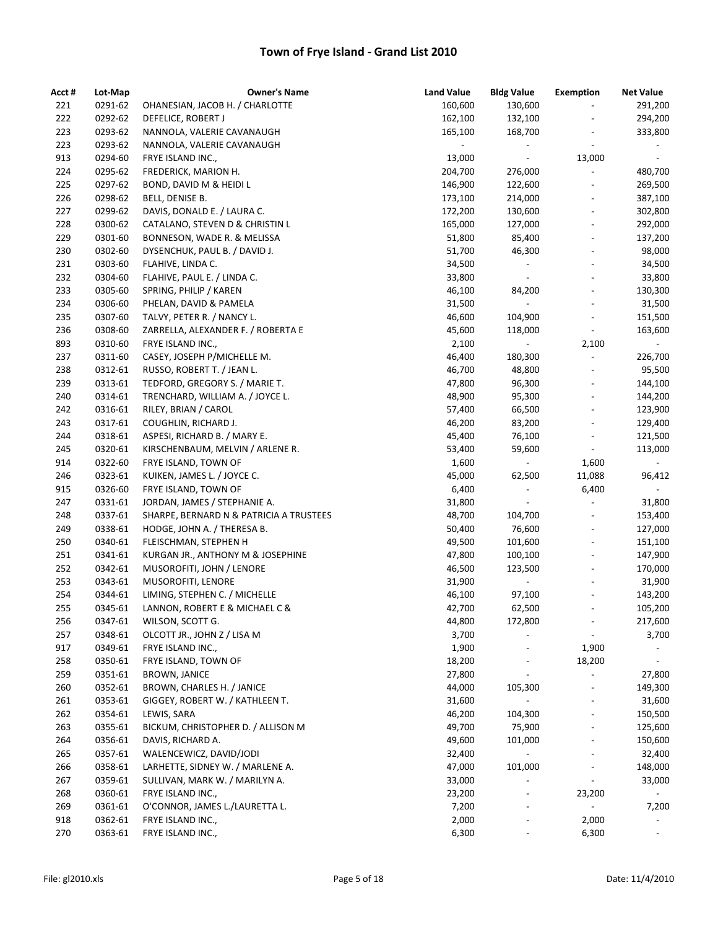| Acct # | Lot-Map | <b>Owner's Name</b>                     | <b>Land Value</b> | <b>Bldg Value</b>            | Exemption                    | <b>Net Value</b>         |
|--------|---------|-----------------------------------------|-------------------|------------------------------|------------------------------|--------------------------|
| 221    | 0291-62 | OHANESIAN, JACOB H. / CHARLOTTE         | 160,600           | 130,600                      | $\overline{\phantom{a}}$     | 291,200                  |
| 222    | 0292-62 | DEFELICE, ROBERT J                      | 162,100           | 132,100                      |                              | 294,200                  |
| 223    | 0293-62 | NANNOLA, VALERIE CAVANAUGH              | 165,100           | 168,700                      | $\overline{\phantom{a}}$     | 333,800                  |
| 223    | 0293-62 | NANNOLA, VALERIE CAVANAUGH              |                   | $\overline{\phantom{a}}$     | $\blacksquare$               | $\blacksquare$           |
| 913    | 0294-60 | FRYE ISLAND INC.,                       | 13,000            | $\sim$                       | 13,000                       | $\overline{\phantom{a}}$ |
| 224    | 0295-62 | FREDERICK, MARION H.                    | 204,700           | 276,000                      | $\frac{1}{2}$                | 480,700                  |
| 225    | 0297-62 | BOND, DAVID M & HEIDI L                 | 146,900           | 122,600                      | $\qquad \qquad \blacksquare$ | 269,500                  |
| 226    | 0298-62 | BELL, DENISE B.                         | 173,100           | 214,000                      | $\blacksquare$               | 387,100                  |
| 227    | 0299-62 | DAVIS, DONALD E. / LAURA C.             | 172,200           | 130,600                      | $\overline{\phantom{a}}$     | 302,800                  |
| 228    | 0300-62 | CATALANO, STEVEN D & CHRISTIN L         | 165,000           | 127,000                      | $\overline{\phantom{a}}$     | 292,000                  |
| 229    | 0301-60 | BONNESON, WADE R. & MELISSA             | 51,800            | 85,400                       | $\overline{\phantom{a}}$     | 137,200                  |
| 230    | 0302-60 | DYSENCHUK, PAUL B. / DAVID J.           | 51,700            | 46,300                       | $\overline{\phantom{a}}$     | 98,000                   |
| 231    | 0303-60 | FLAHIVE, LINDA C.                       | 34,500            | $\overline{\phantom{a}}$     | $\overline{\phantom{a}}$     | 34,500                   |
| 232    | 0304-60 | FLAHIVE, PAUL E. / LINDA C.             | 33,800            | $\overline{\phantom{a}}$     | $\overline{\phantom{a}}$     | 33,800                   |
| 233    | 0305-60 | SPRING, PHILIP / KAREN                  | 46,100            | 84,200                       | $\overline{a}$               | 130,300                  |
| 234    | 0306-60 | PHELAN, DAVID & PAMELA                  | 31,500            | $\equiv$                     | $\blacksquare$               | 31,500                   |
| 235    | 0307-60 | TALVY, PETER R. / NANCY L.              | 46,600            | 104,900                      | $\overline{\phantom{a}}$     | 151,500                  |
| 236    | 0308-60 | ZARRELLA, ALEXANDER F. / ROBERTA E      | 45,600            | 118,000                      | $\Box$                       | 163,600                  |
| 893    | 0310-60 | FRYE ISLAND INC.,                       | 2,100             | $\omega_{\rm{eff}}$          | 2,100                        | $\sim$                   |
| 237    | 0311-60 | CASEY, JOSEPH P/MICHELLE M.             | 46,400            | 180,300                      | $\blacksquare$               | 226,700                  |
| 238    | 0312-61 | RUSSO, ROBERT T. / JEAN L.              | 46,700            | 48,800                       | $\blacksquare$               | 95,500                   |
| 239    | 0313-61 | TEDFORD, GREGORY S. / MARIE T.          | 47,800            | 96,300                       | $\overline{\phantom{0}}$     | 144,100                  |
| 240    | 0314-61 | TRENCHARD, WILLIAM A. / JOYCE L.        | 48,900            | 95,300                       | $\frac{1}{2}$                | 144,200                  |
| 242    | 0316-61 | RILEY, BRIAN / CAROL                    | 57,400            | 66,500                       | $\frac{1}{2}$                | 123,900                  |
| 243    | 0317-61 | COUGHLIN, RICHARD J.                    | 46,200            | 83,200                       | $\overline{\phantom{a}}$     | 129,400                  |
| 244    | 0318-61 | ASPESI, RICHARD B. / MARY E.            | 45,400            | 76,100                       | $\overline{\phantom{a}}$     | 121,500                  |
| 245    | 0320-61 | KIRSCHENBAUM, MELVIN / ARLENE R.        | 53,400            | 59,600                       | $\blacksquare$               | 113,000                  |
| 914    | 0322-60 | FRYE ISLAND, TOWN OF                    | 1,600             | $\sim$                       | 1,600                        | $\sim$                   |
| 246    | 0323-61 | KUIKEN, JAMES L. / JOYCE C.             | 45,000            | 62,500                       | 11,088                       | 96,412                   |
| 915    | 0326-60 | FRYE ISLAND, TOWN OF                    | 6,400             | $\overline{\phantom{a}}$     | 6,400                        | $\overline{\phantom{a}}$ |
| 247    | 0331-61 | JORDAN, JAMES / STEPHANIE A.            | 31,800            |                              | $\overline{a}$               | 31,800                   |
| 248    | 0337-61 | SHARPE, BERNARD N & PATRICIA A TRUSTEES | 48,700            | 104,700                      |                              | 153,400                  |
| 249    | 0338-61 | HODGE, JOHN A. / THERESA B.             | 50,400            | 76,600                       | $\overline{\phantom{a}}$     | 127,000                  |
| 250    | 0340-61 | FLEISCHMAN, STEPHEN H                   | 49,500            | 101,600                      | $\overline{\phantom{a}}$     | 151,100                  |
| 251    | 0341-61 | KURGAN JR., ANTHONY M & JOSEPHINE       | 47,800            | 100,100                      | $\overline{\phantom{a}}$     | 147,900                  |
| 252    | 0342-61 | MUSOROFITI, JOHN / LENORE               | 46,500            | 123,500                      | $\blacksquare$               | 170,000                  |
| 253    | 0343-61 | MUSOROFITI, LENORE                      | 31,900            | $\sim$                       | $\overline{\phantom{a}}$     | 31,900                   |
| 254    | 0344-61 | LIMING, STEPHEN C. / MICHELLE           | 46,100            | 97,100                       | $\overline{\phantom{a}}$     | 143,200                  |
| 255    | 0345-61 | LANNON, ROBERT E & MICHAEL C &          | 42,700            | 62,500                       |                              | 105,200                  |
| 256    | 0347-61 | WILSON, SCOTT G.                        | 44,800            | 172,800                      |                              | 217,600                  |
| 257    | 0348-61 | OLCOTT JR., JOHN Z / LISA M             | 3,700             |                              |                              | 3,700                    |
| 917    | 0349-61 | FRYE ISLAND INC.,                       | 1,900             |                              | 1,900                        |                          |
| 258    | 0350-61 | FRYE ISLAND, TOWN OF                    | 18,200            |                              | 18,200                       | $\overline{\phantom{a}}$ |
| 259    | 0351-61 | <b>BROWN, JANICE</b>                    | 27,800            | $\qquad \qquad \blacksquare$ | $\overline{\phantom{a}}$     | 27,800                   |
| 260    | 0352-61 | BROWN, CHARLES H. / JANICE              | 44,000            | 105,300                      | $\qquad \qquad \blacksquare$ | 149,300                  |
| 261    | 0353-61 | GIGGEY, ROBERT W. / KATHLEEN T.         | 31,600            |                              | $\overline{\phantom{0}}$     | 31,600                   |
| 262    | 0354-61 | LEWIS, SARA                             | 46,200            | 104,300                      |                              | 150,500                  |
| 263    | 0355-61 | BICKUM, CHRISTOPHER D. / ALLISON M      | 49,700            | 75,900                       |                              | 125,600                  |
| 264    | 0356-61 | DAVIS, RICHARD A.                       | 49,600            | 101,000                      |                              | 150,600                  |
| 265    | 0357-61 | WALENCEWICZ, DAVID/JODI                 | 32,400            |                              | $\qquad \qquad \blacksquare$ | 32,400                   |
| 266    | 0358-61 | LARHETTE, SIDNEY W. / MARLENE A.        | 47,000            | 101,000                      | $\qquad \qquad \blacksquare$ | 148,000                  |
| 267    | 0359-61 | SULLIVAN, MARK W. / MARILYN A.          | 33,000            |                              | $\overline{\phantom{a}}$     | 33,000                   |
| 268    | 0360-61 | FRYE ISLAND INC.,                       | 23,200            |                              | 23,200                       |                          |
| 269    | 0361-61 | O'CONNOR, JAMES L./LAURETTA L.          | 7,200             | $\overline{\phantom{a}}$     |                              | 7,200                    |
| 918    | 0362-61 | FRYE ISLAND INC.,                       | 2,000             |                              | 2,000                        |                          |
| 270    | 0363-61 | FRYE ISLAND INC.,                       | 6,300             | $\qquad \qquad \blacksquare$ | 6,300                        | $\overline{\phantom{a}}$ |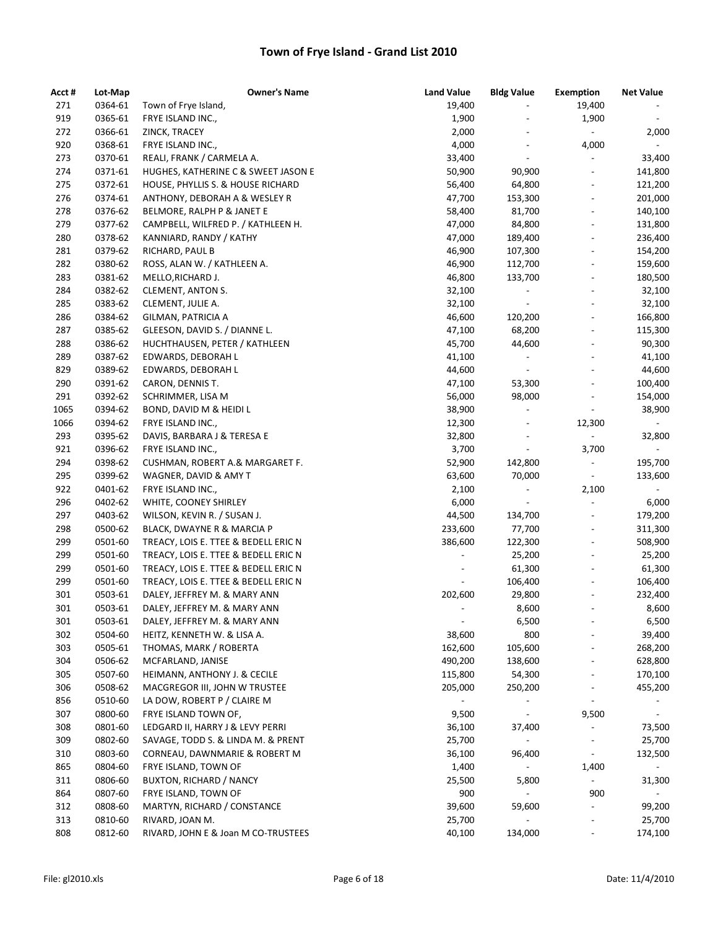| Acct # | Lot-Map | <b>Owner's Name</b>                  | <b>Land Value</b>        | <b>Bldg Value</b>        | <b>Exemption</b>             | <b>Net Value</b>         |
|--------|---------|--------------------------------------|--------------------------|--------------------------|------------------------------|--------------------------|
| 271    | 0364-61 | Town of Frye Island,                 | 19,400                   |                          | 19,400                       |                          |
| 919    | 0365-61 | FRYE ISLAND INC.,                    | 1,900                    |                          | 1,900                        | $\sim$                   |
| 272    | 0366-61 | ZINCK, TRACEY                        | 2,000                    | $\overline{a}$           | $\blacksquare$               | 2,000                    |
| 920    | 0368-61 | FRYE ISLAND INC.,                    | 4,000                    | $\overline{\phantom{a}}$ | 4,000                        | $\blacksquare$           |
| 273    | 0370-61 | REALI, FRANK / CARMELA A.            | 33,400                   | $\overline{\phantom{a}}$ | $\overline{\phantom{a}}$     | 33,400                   |
| 274    | 0371-61 | HUGHES, KATHERINE C & SWEET JASON E  | 50,900                   | 90,900                   |                              | 141,800                  |
| 275    | 0372-61 | HOUSE, PHYLLIS S. & HOUSE RICHARD    | 56,400                   | 64,800                   |                              | 121,200                  |
| 276    | 0374-61 | ANTHONY, DEBORAH A & WESLEY R        | 47,700                   | 153,300                  | $\overline{a}$               | 201,000                  |
| 278    | 0376-62 | BELMORE, RALPH P & JANET E           | 58,400                   | 81,700                   | $\overline{a}$               | 140,100                  |
| 279    | 0377-62 | CAMPBELL, WILFRED P. / KATHLEEN H.   | 47,000                   | 84,800                   | $\overline{a}$               | 131,800                  |
| 280    | 0378-62 | KANNIARD, RANDY / KATHY              | 47,000                   | 189,400                  |                              | 236,400                  |
| 281    | 0379-62 | RICHARD, PAUL B                      | 46,900                   | 107,300                  | $\overline{\phantom{a}}$     | 154,200                  |
| 282    | 0380-62 | ROSS, ALAN W. / KATHLEEN A.          | 46,900                   | 112,700                  | $\qquad \qquad \blacksquare$ | 159,600                  |
| 283    | 0381-62 | MELLO, RICHARD J.                    | 46,800                   | 133,700                  |                              | 180,500                  |
| 284    | 0382-62 | CLEMENT, ANTON S.                    | 32,100                   |                          |                              | 32,100                   |
| 285    | 0383-62 | CLEMENT, JULIE A.                    | 32,100                   | $\overline{\phantom{a}}$ |                              | 32,100                   |
| 286    | 0384-62 | GILMAN, PATRICIA A                   | 46,600                   | 120,200                  |                              | 166,800                  |
| 287    | 0385-62 | GLEESON, DAVID S. / DIANNE L.        | 47,100                   | 68,200                   |                              | 115,300                  |
| 288    | 0386-62 | HUCHTHAUSEN, PETER / KATHLEEN        | 45,700                   | 44,600                   |                              | 90,300                   |
| 289    | 0387-62 | EDWARDS, DEBORAH L                   | 41,100                   | $\overline{\phantom{a}}$ | $\overline{\phantom{0}}$     | 41,100                   |
| 829    | 0389-62 | EDWARDS, DEBORAH L                   | 44,600                   | $\blacksquare$           | $\overline{\phantom{a}}$     | 44,600                   |
| 290    | 0391-62 | CARON, DENNIS T.                     | 47,100                   | 53,300                   | $\overline{a}$               | 100,400                  |
| 291    | 0392-62 | SCHRIMMER, LISA M                    | 56,000                   | 98,000                   |                              | 154,000                  |
| 1065   | 0394-62 | BOND, DAVID M & HEIDI L              | 38,900                   | $\overline{\phantom{a}}$ | $\blacksquare$               | 38,900                   |
| 1066   | 0394-62 | FRYE ISLAND INC.,                    | 12,300                   | $\overline{\phantom{a}}$ | 12,300                       | $\sim$                   |
| 293    | 0395-62 | DAVIS, BARBARA J & TERESA E          | 32,800                   | $\overline{\phantom{0}}$ | $\overline{\phantom{a}}$     | 32,800                   |
| 921    | 0396-62 | FRYE ISLAND INC.,                    | 3,700                    | $\overline{\phantom{a}}$ | 3,700                        | $\sim$                   |
| 294    | 0398-62 | CUSHMAN, ROBERT A.& MARGARET F.      | 52,900                   | 142,800                  | $\blacksquare$               | 195,700                  |
| 295    | 0399-62 | WAGNER, DAVID & AMY T                | 63,600                   | 70,000                   | $\overline{\phantom{a}}$     | 133,600                  |
| 922    | 0401-62 | FRYE ISLAND INC.,                    | 2,100                    |                          | 2,100                        |                          |
| 296    | 0402-62 | WHITE, COONEY SHIRLEY                | 6,000                    |                          |                              | 6,000                    |
| 297    | 0403-62 | WILSON, KEVIN R. / SUSAN J.          | 44,500                   | 134,700                  |                              | 179,200                  |
| 298    | 0500-62 | BLACK, DWAYNE R & MARCIA P           | 233,600                  | 77,700                   | $\overline{a}$               | 311,300                  |
| 299    | 0501-60 | TREACY, LOIS E. TTEE & BEDELL ERIC N | 386,600                  | 122,300                  |                              | 508,900                  |
| 299    | 0501-60 | TREACY, LOIS E. TTEE & BEDELL ERIC N |                          | 25,200                   |                              | 25,200                   |
| 299    | 0501-60 | TREACY, LOIS E. TTEE & BEDELL ERIC N |                          | 61,300                   |                              | 61,300                   |
| 299    | 0501-60 | TREACY, LOIS E. TTEE & BEDELL ERIC N | $\overline{\phantom{a}}$ | 106,400                  | $\qquad \qquad \blacksquare$ | 106,400                  |
| 301    | 0503-61 | DALEY, JEFFREY M. & MARY ANN         | 202,600                  | 29,800                   |                              | 232,400                  |
| 301    | 0503-61 | DALEY, JEFFREY M. & MARY ANN         |                          | 8,600                    |                              | 8,600                    |
| 301    | 0503-61 | DALEY, JEFFREY M. & MARY ANN         | $\overline{\phantom{a}}$ | 6,500                    |                              | 6,500                    |
| 302    | 0504-60 | HEITZ, KENNETH W. & LISA A.          | 38,600                   | 800                      |                              | 39,400                   |
| 303    | 0505-61 | THOMAS, MARK / ROBERTA               | 162,600                  | 105,600                  |                              | 268,200                  |
| 304    | 0506-62 | MCFARLAND, JANISE                    | 490,200                  | 138,600                  |                              | 628,800                  |
| 305    | 0507-60 | HEIMANN, ANTHONY J. & CECILE         | 115,800                  | 54,300                   |                              | 170,100                  |
| 306    | 0508-62 | MACGREGOR III, JOHN W TRUSTEE        | 205,000                  | 250,200                  |                              | 455,200                  |
| 856    | 0510-60 | LA DOW, ROBERT P / CLAIRE M          |                          | $\overline{\phantom{0}}$ | $\overline{\phantom{a}}$     | $\overline{\phantom{a}}$ |
| 307    | 0800-60 | FRYE ISLAND TOWN OF,                 | 9,500                    | $\overline{a}$           | 9,500                        | $\overline{\phantom{a}}$ |
| 308    | 0801-60 | LEDGARD II, HARRY J & LEVY PERRI     | 36,100                   | 37,400                   |                              | 73,500                   |
| 309    | 0802-60 | SAVAGE, TODD S. & LINDA M. & PRENT   | 25,700                   | $\overline{\phantom{0}}$ | $\overline{\phantom{a}}$     | 25,700                   |
|        | 0803-60 |                                      |                          |                          |                              |                          |
| 310    |         | CORNEAU, DAWNMARIE & ROBERT M        | 36,100                   | 96,400                   | $\blacksquare$               | 132,500                  |
| 865    | 0804-60 | FRYE ISLAND, TOWN OF                 | 1,400                    |                          | 1,400                        |                          |
| 311    | 0806-60 | BUXTON, RICHARD / NANCY              | 25,500                   | 5,800                    | $\blacksquare$               | 31,300                   |
| 864    | 0807-60 | FRYE ISLAND, TOWN OF                 | 900                      |                          | 900                          | $\overline{\phantom{a}}$ |
| 312    | 0808-60 | MARTYN, RICHARD / CONSTANCE          | 39,600                   | 59,600                   | $\overline{\phantom{a}}$     | 99,200                   |
| 313    | 0810-60 | RIVARD, JOAN M.                      | 25,700                   |                          |                              | 25,700                   |
| 808    | 0812-60 | RIVARD, JOHN E & Joan M CO-TRUSTEES  | 40,100                   | 134,000                  |                              | 174,100                  |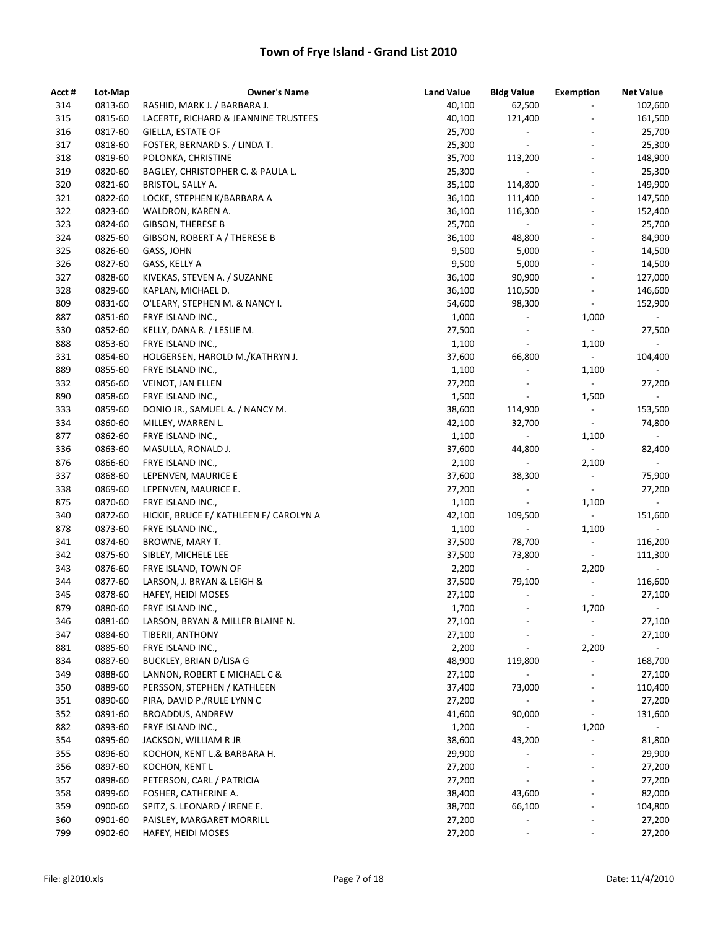| Acct # | Lot-Map | <b>Owner's Name</b>                    | <b>Land Value</b> | <b>Bldg Value</b>            | <b>Exemption</b>             | <b>Net Value</b>         |
|--------|---------|----------------------------------------|-------------------|------------------------------|------------------------------|--------------------------|
| 314    | 0813-60 | RASHID, MARK J. / BARBARA J.           | 40,100            | 62,500                       | $\overline{\phantom{0}}$     | 102,600                  |
| 315    | 0815-60 | LACERTE, RICHARD & JEANNINE TRUSTEES   | 40,100            | 121,400                      | $\overline{a}$               | 161,500                  |
| 316    | 0817-60 | GIELLA, ESTATE OF                      | 25,700            | $\overline{\phantom{a}}$     | $\overline{\phantom{a}}$     | 25,700                   |
| 317    | 0818-60 | FOSTER, BERNARD S. / LINDA T.          | 25,300            | $\overline{\phantom{a}}$     | $\overline{\phantom{a}}$     | 25,300                   |
| 318    | 0819-60 | POLONKA, CHRISTINE                     | 35,700            | 113,200                      | $\overline{\phantom{a}}$     | 148,900                  |
| 319    | 0820-60 | BAGLEY, CHRISTOPHER C. & PAULA L.      | 25,300            |                              | $\frac{1}{2}$                | 25,300                   |
| 320    | 0821-60 | BRISTOL, SALLY A.                      | 35,100            | 114,800                      | $\qquad \qquad \blacksquare$ | 149,900                  |
| 321    | 0822-60 | LOCKE, STEPHEN K/BARBARA A             | 36,100            | 111,400                      | $\overline{\phantom{a}}$     | 147,500                  |
| 322    | 0823-60 | WALDRON, KAREN A.                      | 36,100            | 116,300                      | $\overline{\phantom{a}}$     | 152,400                  |
| 323    | 0824-60 | <b>GIBSON, THERESE B</b>               | 25,700            | $\blacksquare$               | $\overline{\phantom{a}}$     | 25,700                   |
| 324    | 0825-60 | GIBSON, ROBERT A / THERESE B           | 36,100            | 48,800                       | $\qquad \qquad \blacksquare$ | 84,900                   |
| 325    | 0826-60 | GASS, JOHN                             | 9,500             | 5,000                        | $\overline{\phantom{a}}$     | 14,500                   |
| 326    | 0827-60 | GASS, KELLY A                          | 9,500             | 5,000                        | $\overline{\phantom{a}}$     | 14,500                   |
| 327    | 0828-60 | KIVEKAS, STEVEN A. / SUZANNE           | 36,100            | 90,900                       | $\overline{\phantom{a}}$     | 127,000                  |
| 328    | 0829-60 | KAPLAN, MICHAEL D.                     | 36,100            | 110,500                      | $\overline{\phantom{a}}$     | 146,600                  |
| 809    | 0831-60 | O'LEARY, STEPHEN M. & NANCY I.         | 54,600            | 98,300                       | $\overline{\phantom{a}}$     | 152,900                  |
| 887    | 0851-60 | FRYE ISLAND INC.,                      | 1,000             | $\overline{\phantom{a}}$     | 1,000                        |                          |
| 330    | 0852-60 | KELLY, DANA R. / LESLIE M.             | 27,500            | $\overline{\phantom{a}}$     | $\omega_{\rm c}$             | 27,500                   |
| 888    | 0853-60 | FRYE ISLAND INC.,                      | 1,100             | $\blacksquare$               | 1,100                        | $\sim$                   |
| 331    | 0854-60 | HOLGERSEN, HAROLD M./KATHRYN J.        | 37,600            | 66,800                       | $\sim$                       | 104,400                  |
| 889    | 0855-60 | FRYE ISLAND INC.,                      | 1,100             | $\overline{\phantom{a}}$     | 1,100                        | $\sim$                   |
| 332    | 0856-60 | VEINOT, JAN ELLEN                      | 27,200            | $\overline{a}$               | $\overline{\phantom{a}}$     | 27,200                   |
| 890    | 0858-60 | FRYE ISLAND INC.,                      | 1,500             | $\blacksquare$               | 1,500                        | $\sim$                   |
| 333    | 0859-60 | DONIO JR., SAMUEL A. / NANCY M.        | 38,600            | 114,900                      | $\overline{\phantom{a}}$     | 153,500                  |
| 334    | 0860-60 | MILLEY, WARREN L.                      | 42,100            | 32,700                       | $\blacksquare$               | 74,800                   |
| 877    | 0862-60 | FRYE ISLAND INC.,                      | 1,100             | $\overline{\phantom{a}}$     | 1,100                        | $\sim$                   |
| 336    | 0863-60 | MASULLA, RONALD J.                     | 37,600            | 44,800                       | $\omega_{\rm c}$             | 82,400                   |
| 876    | 0866-60 | FRYE ISLAND INC.,                      | 2,100             | $\overline{\phantom{a}}$     | 2,100                        | $\sim$                   |
| 337    | 0868-60 | LEPENVEN, MAURICE E                    | 37,600            | 38,300                       | $\blacksquare$               | 75,900                   |
| 338    | 0869-60 | LEPENVEN, MAURICE E.                   | 27,200            | $\qquad \qquad \blacksquare$ | $\overline{\phantom{a}}$     | 27,200                   |
| 875    | 0870-60 | FRYE ISLAND INC.,                      | 1,100             |                              | 1,100                        |                          |
| 340    | 0872-60 | HICKIE, BRUCE E/ KATHLEEN F/ CAROLYN A | 42,100            | 109,500                      | $\overline{\phantom{a}}$     | 151,600                  |
| 878    | 0873-60 | FRYE ISLAND INC.,                      | 1,100             |                              | 1,100                        |                          |
| 341    | 0874-60 | BROWNE, MARY T.                        | 37,500            | 78,700                       | $\blacksquare$               | 116,200                  |
| 342    | 0875-60 | SIBLEY, MICHELE LEE                    | 37,500            | 73,800                       | $\overline{\phantom{a}}$     | 111,300                  |
| 343    | 0876-60 | FRYE ISLAND, TOWN OF                   | 2,200             | $\blacksquare$               | 2,200                        | $\overline{\phantom{0}}$ |
| 344    | 0877-60 | LARSON, J. BRYAN & LEIGH &             | 37,500            | 79,100                       | $\overline{\phantom{a}}$     | 116,600                  |
| 345    | 0878-60 | HAFEY, HEIDI MOSES                     | 27,100            | $\overline{\phantom{a}}$     | $\overline{\phantom{a}}$     | 27,100                   |
| 879    | 0880-60 | FRYE ISLAND INC.,                      | 1,700             |                              | 1,700                        |                          |
| 346    | 0881-60 | LARSON, BRYAN & MILLER BLAINE N.       | 27,100            |                              | $\overline{\phantom{0}}$     | 27,100                   |
| 347    | 0884-60 | TIBERII, ANTHONY                       | 27,100            |                              | $\overline{\phantom{a}}$     | 27,100                   |
| 881    | 0885-60 | FRYE ISLAND INC.,                      | 2,200             |                              | 2,200                        | $\overline{\phantom{a}}$ |
| 834    | 0887-60 | BUCKLEY, BRIAN D/LISA G                | 48,900            | 119,800                      | $\overline{\phantom{a}}$     | 168,700                  |
| 349    | 0888-60 | LANNON, ROBERT E MICHAEL C &           | 27,100            | ۰.                           |                              | 27,100                   |
| 350    | 0889-60 | PERSSON, STEPHEN / KATHLEEN            | 37,400            | 73,000                       | $\qquad \qquad \blacksquare$ | 110,400                  |
| 351    | 0890-60 | PIRA, DAVID P./RULE LYNN C             | 27,200            |                              | $\overline{\phantom{a}}$     | 27,200                   |
| 352    | 0891-60 | <b>BROADDUS, ANDREW</b>                | 41,600            | 90,000                       | $\overline{\phantom{a}}$     | 131,600                  |
| 882    | 0893-60 | FRYE ISLAND INC.,                      | 1,200             |                              | 1,200                        |                          |
| 354    | 0895-60 | JACKSON, WILLIAM R JR                  | 38,600            | 43,200                       |                              | 81,800                   |
| 355    | 0896-60 | KOCHON, KENT L.& BARBARA H.            | 29,900            | $\overline{\phantom{a}}$     | $\overline{\phantom{a}}$     | 29,900                   |
| 356    | 0897-60 | KOCHON, KENT L                         | 27,200            | $\overline{\phantom{a}}$     | $\overline{\phantom{a}}$     | 27,200                   |
| 357    | 0898-60 | PETERSON, CARL / PATRICIA              | 27,200            |                              | $\overline{\phantom{a}}$     | 27,200                   |
| 358    | 0899-60 | FOSHER, CATHERINE A.                   | 38,400            | 43,600                       | $\overline{\phantom{a}}$     | 82,000                   |
| 359    | 0900-60 | SPITZ, S. LEONARD / IRENE E.           | 38,700            | 66,100                       | $\qquad \qquad \blacksquare$ | 104,800                  |
| 360    | 0901-60 | PAISLEY, MARGARET MORRILL              | 27,200            |                              |                              | 27,200                   |
| 799    | 0902-60 | HAFEY, HEIDI MOSES                     | 27,200            |                              |                              | 27,200                   |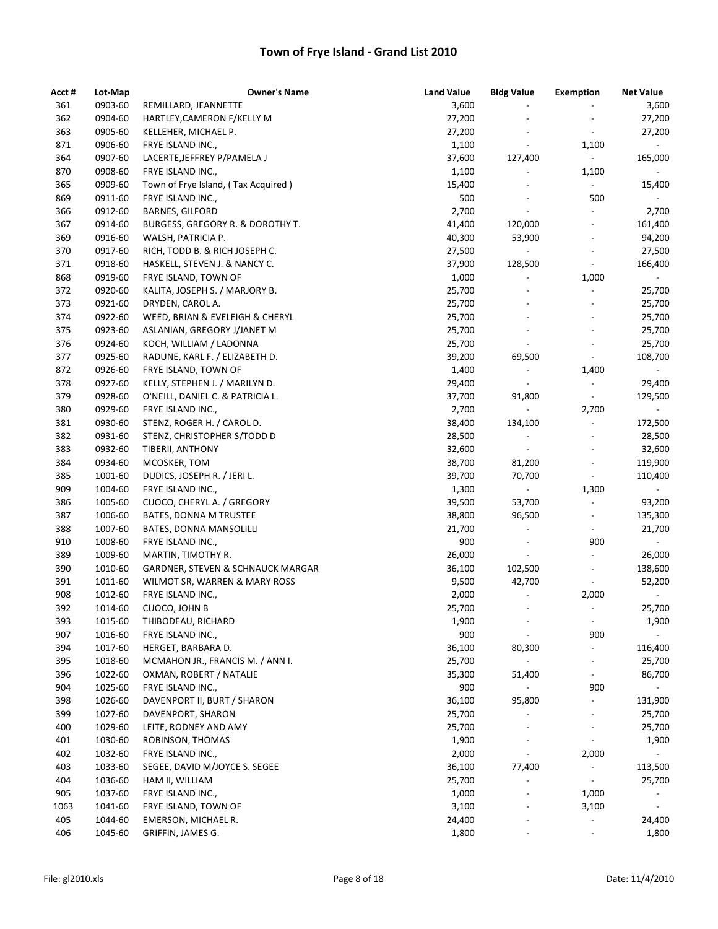| Acct # | Lot-Map | <b>Owner's Name</b>                 | <b>Land Value</b> | <b>Bldg Value</b>            | Exemption                    | <b>Net Value</b>         |
|--------|---------|-------------------------------------|-------------------|------------------------------|------------------------------|--------------------------|
| 361    | 0903-60 | REMILLARD, JEANNETTE                | 3,600             |                              |                              | 3,600                    |
| 362    | 0904-60 | HARTLEY, CAMERON F/KELLY M          | 27,200            |                              |                              | 27,200                   |
| 363    | 0905-60 | KELLEHER, MICHAEL P.                | 27,200            |                              | $\overline{\phantom{a}}$     | 27,200                   |
| 871    | 0906-60 | FRYE ISLAND INC.,                   | 1,100             | $\qquad \qquad \blacksquare$ | 1,100                        | $\sim$                   |
| 364    | 0907-60 | LACERTE, JEFFREY P/PAMELA J         | 37,600            | 127,400                      | $\overline{\phantom{a}}$     | 165,000                  |
| 870    | 0908-60 | FRYE ISLAND INC.,                   | 1,100             | $\overline{\phantom{a}}$     | 1,100                        |                          |
| 365    | 0909-60 | Town of Frye Island, (Tax Acquired) | 15,400            |                              | $\overline{\phantom{a}}$     | 15,400                   |
| 869    | 0911-60 | FRYE ISLAND INC.,                   | 500               | $\overline{a}$               | 500                          | $\sim$                   |
| 366    | 0912-60 | <b>BARNES, GILFORD</b>              | 2,700             | $\overline{\phantom{a}}$     | $\overline{\phantom{a}}$     | 2,700                    |
| 367    | 0914-60 | BURGESS, GREGORY R. & DOROTHY T.    | 41,400            | 120,000                      | $\overline{\phantom{a}}$     | 161,400                  |
| 369    | 0916-60 | WALSH, PATRICIA P.                  | 40,300            | 53,900                       | $\overline{\phantom{a}}$     | 94,200                   |
| 370    | 0917-60 | RICH, TODD B. & RICH JOSEPH C.      | 27,500            | $\overline{\phantom{a}}$     | $\overline{a}$               | 27,500                   |
| 371    | 0918-60 | HASKELL, STEVEN J. & NANCY C.       | 37,900            | 128,500                      | $\overline{\phantom{a}}$     | 166,400                  |
| 868    | 0919-60 | FRYE ISLAND, TOWN OF                | 1,000             |                              | 1,000                        |                          |
| 372    | 0920-60 | KALITA, JOSEPH S. / MARJORY B.      | 25,700            |                              | $\overline{a}$               | 25,700                   |
| 373    | 0921-60 | DRYDEN, CAROL A.                    | 25,700            | $\overline{a}$               | $\overline{\phantom{a}}$     | 25,700                   |
| 374    | 0922-60 | WEED, BRIAN & EVELEIGH & CHERYL     | 25,700            |                              | $\overline{\phantom{a}}$     | 25,700                   |
| 375    | 0923-60 | ASLANIAN, GREGORY J/JANET M         | 25,700            | $\overline{a}$               | $\overline{a}$               | 25,700                   |
| 376    | 0924-60 | KOCH, WILLIAM / LADONNA             | 25,700            |                              | $\overline{a}$               | 25,700                   |
| 377    | 0925-60 | RADUNE, KARL F. / ELIZABETH D.      | 39,200            | 69,500                       | $\blacksquare$               | 108,700                  |
| 872    | 0926-60 | FRYE ISLAND, TOWN OF                | 1,400             | $\overline{\phantom{a}}$     | 1,400                        | $\sim$                   |
| 378    | 0927-60 | KELLY, STEPHEN J. / MARILYN D.      | 29,400            | $\overline{\phantom{a}}$     | $\overline{\phantom{a}}$     | 29,400                   |
| 379    | 0928-60 | O'NEILL, DANIEL C. & PATRICIA L.    | 37,700            | 91,800                       | $\overline{\phantom{a}}$     | 129,500                  |
| 380    | 0929-60 | FRYE ISLAND INC.,                   | 2,700             | $\overline{\phantom{a}}$     | 2,700                        | $\overline{\phantom{a}}$ |
| 381    | 0930-60 | STENZ, ROGER H. / CAROL D.          | 38,400            | 134,100                      | $\overline{\phantom{a}}$     | 172,500                  |
| 382    | 0931-60 | STENZ, CHRISTOPHER S/TODD D         | 28,500            | $\overline{\phantom{a}}$     | $\overline{\phantom{a}}$     | 28,500                   |
| 383    | 0932-60 | TIBERII, ANTHONY                    | 32,600            | $\overline{\phantom{a}}$     | $\overline{a}$               | 32,600                   |
| 384    | 0934-60 | MCOSKER, TOM                        | 38,700            | 81,200                       | $\overline{\phantom{a}}$     | 119,900                  |
| 385    | 1001-60 | DUDICS, JOSEPH R. / JERI L.         | 39,700            | 70,700                       | $\overline{\phantom{a}}$     | 110,400                  |
| 909    | 1004-60 | FRYE ISLAND INC.,                   | 1,300             |                              | 1,300                        |                          |
| 386    | 1005-60 | CUOCO, CHERYL A. / GREGORY          | 39,500            | 53,700                       | $\overline{\phantom{a}}$     | 93,200                   |
| 387    | 1006-60 | BATES, DONNA M TRUSTEE              | 38,800            | 96,500                       | $\overline{a}$               | 135,300                  |
| 388    | 1007-60 | BATES, DONNA MANSOLILLI             | 21,700            | $\overline{a}$               | $\overline{\phantom{a}}$     | 21,700                   |
| 910    | 1008-60 | FRYE ISLAND INC.,                   | 900               | $\overline{\phantom{a}}$     | 900                          |                          |
| 389    | 1009-60 | MARTIN, TIMOTHY R.                  | 26,000            | $\overline{\phantom{a}}$     | $\overline{\phantom{a}}$     | 26,000                   |
| 390    | 1010-60 | GARDNER, STEVEN & SCHNAUCK MARGAR   | 36,100            | 102,500                      | $\overline{\phantom{a}}$     | 138,600                  |
| 391    | 1011-60 | WILMOT SR, WARREN & MARY ROSS       | 9,500             | 42,700                       | $\overline{\phantom{a}}$     | 52,200                   |
| 908    | 1012-60 | FRYE ISLAND INC.,                   | 2,000             | $\overline{\phantom{a}}$     | 2,000                        | $\overline{\phantom{a}}$ |
| 392    | 1014-60 | CUOCO, JOHN B                       | 25,700            |                              |                              | 25,700                   |
| 393    | 1015-60 | THIBODEAU, RICHARD                  | 1,900             |                              | $\overline{\phantom{a}}$     | 1,900                    |
| 907    | 1016-60 | FRYE ISLAND INC.,                   | 900               |                              | 900                          | $\sim$                   |
| 394    | 1017-60 | HERGET, BARBARA D.                  | 36,100            | 80,300                       | $\blacksquare$               | 116,400                  |
| 395    | 1018-60 | MCMAHON JR., FRANCIS M. / ANN I.    | 25,700            | $\blacksquare$               | $\overline{\phantom{a}}$     | 25,700                   |
| 396    | 1022-60 | OXMAN, ROBERT / NATALIE             | 35,300            | 51,400                       | $\blacksquare$               | 86,700                   |
| 904    | 1025-60 | FRYE ISLAND INC.,                   | 900               | $\overline{\phantom{a}}$     | 900                          | $\overline{\phantom{a}}$ |
| 398    | 1026-60 | DAVENPORT II, BURT / SHARON         | 36,100            | 95,800                       | $\overline{\phantom{a}}$     | 131,900                  |
| 399    | 1027-60 | DAVENPORT, SHARON                   | 25,700            | $\overline{\phantom{a}}$     | $\overline{\phantom{a}}$     | 25,700                   |
| 400    | 1029-60 | LEITE, RODNEY AND AMY               | 25,700            |                              |                              | 25,700                   |
| 401    | 1030-60 | ROBINSON, THOMAS                    | 1,900             |                              | $\overline{\phantom{a}}$     | 1,900                    |
| 402    | 1032-60 | FRYE ISLAND INC.,                   | 2,000             |                              | 2,000                        | $\overline{\phantom{a}}$ |
| 403    | 1033-60 | SEGEE, DAVID M/JOYCE S. SEGEE       | 36,100            | 77,400                       | $\overline{\phantom{a}}$     | 113,500                  |
| 404    | 1036-60 | HAM II, WILLIAM                     | 25,700            |                              | $\overline{\phantom{a}}$     | 25,700                   |
| 905    | 1037-60 | FRYE ISLAND INC.,                   | 1,000             |                              | 1,000                        |                          |
| 1063   | 1041-60 | FRYE ISLAND, TOWN OF                | 3,100             |                              | 3,100                        | $\overline{\phantom{a}}$ |
| 405    | 1044-60 | EMERSON, MICHAEL R.                 | 24,400            |                              | $\overline{\phantom{0}}$     | 24,400                   |
| 406    | 1045-60 | GRIFFIN, JAMES G.                   | 1,800             |                              | $\qquad \qquad \blacksquare$ | 1,800                    |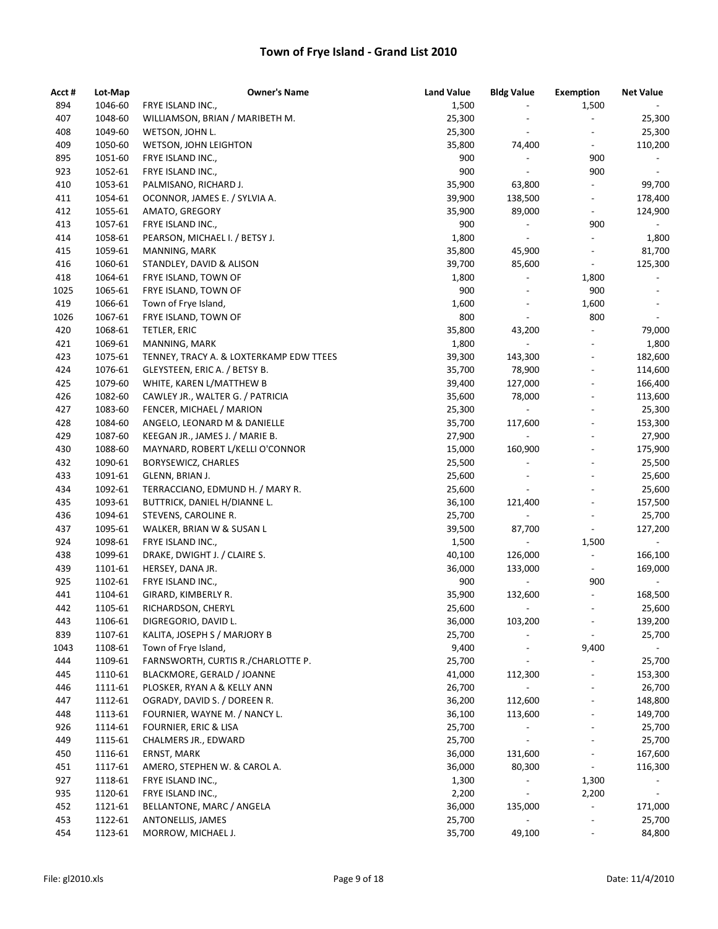| Acct # | Lot-Map | <b>Owner's Name</b>                     | <b>Land Value</b> | <b>Bldg Value</b>                  | <b>Exemption</b>             | <b>Net Value</b>             |
|--------|---------|-----------------------------------------|-------------------|------------------------------------|------------------------------|------------------------------|
| 894    | 1046-60 | FRYE ISLAND INC.,                       | 1,500             |                                    | 1,500                        |                              |
| 407    | 1048-60 | WILLIAMSON, BRIAN / MARIBETH M.         | 25,300            |                                    | $\blacksquare$               | 25,300                       |
| 408    | 1049-60 | WETSON, JOHN L.                         | 25,300            | $\overline{\phantom{a}}$           |                              | 25,300                       |
| 409    | 1050-60 | WETSON, JOHN LEIGHTON                   | 35,800            | 74,400                             | $\blacksquare$               | 110,200                      |
| 895    | 1051-60 | FRYE ISLAND INC.,                       | 900               | $\overline{\phantom{a}}$           | 900                          | $\blacksquare$               |
| 923    | 1052-61 | FRYE ISLAND INC.,                       | 900               | $\overline{\phantom{a}}$           | 900                          | $\overline{\phantom{a}}$     |
| 410    | 1053-61 | PALMISANO, RICHARD J.                   | 35,900            | 63,800                             | $\blacksquare$               | 99,700                       |
| 411    | 1054-61 | OCONNOR, JAMES E. / SYLVIA A.           | 39,900            | 138,500                            | $\overline{\phantom{a}}$     | 178,400                      |
| 412    | 1055-61 | AMATO, GREGORY                          | 35,900            | 89,000                             | $\qquad \qquad \blacksquare$ | 124,900                      |
| 413    | 1057-61 | FRYE ISLAND INC.,                       | 900               | $\overline{\phantom{a}}$           | 900                          | $\sim$                       |
| 414    | 1058-61 | PEARSON, MICHAEL I. / BETSY J.          | 1,800             | $\blacksquare$                     | $\overline{\phantom{a}}$     | 1,800                        |
| 415    | 1059-61 | MANNING, MARK                           | 35,800            | 45,900                             | $\overline{\phantom{a}}$     | 81,700                       |
| 416    | 1060-61 | STANDLEY, DAVID & ALISON                | 39,700            | 85,600                             | $\overline{\phantom{a}}$     | 125,300                      |
| 418    | 1064-61 | FRYE ISLAND, TOWN OF                    | 1,800             | $\overline{\phantom{a}}$           | 1,800                        |                              |
| 1025   | 1065-61 | FRYE ISLAND, TOWN OF                    | 900               | $\overline{\phantom{a}}$           | 900                          | $\qquad \qquad \blacksquare$ |
| 419    | 1066-61 | Town of Frye Island,                    | 1,600             | $\qquad \qquad \blacksquare$       | 1,600                        | $\overline{\phantom{a}}$     |
| 1026   | 1067-61 | FRYE ISLAND, TOWN OF                    | 800               | $\blacksquare$                     | 800                          | $\blacksquare$               |
| 420    | 1068-61 | TETLER, ERIC                            | 35,800            | 43,200                             | $\qquad \qquad \blacksquare$ | 79,000                       |
| 421    | 1069-61 | MANNING, MARK                           | 1,800             | $\overline{\phantom{a}}$           | $\qquad \qquad \blacksquare$ | 1,800                        |
| 423    | 1075-61 | TENNEY, TRACY A. & LOXTERKAMP EDW TTEES | 39,300            | 143,300                            | $\overline{\phantom{a}}$     | 182,600                      |
| 424    | 1076-61 | GLEYSTEEN, ERIC A. / BETSY B.           | 35,700            | 78,900                             | $\qquad \qquad \blacksquare$ | 114,600                      |
| 425    | 1079-60 | WHITE, KAREN L/MATTHEW B                | 39,400            | 127,000                            | $\qquad \qquad \blacksquare$ | 166,400                      |
| 426    | 1082-60 | CAWLEY JR., WALTER G. / PATRICIA        | 35,600            | 78,000                             | $\qquad \qquad \blacksquare$ | 113,600                      |
| 427    | 1083-60 | FENCER, MICHAEL / MARION                | 25,300            | $\overline{\phantom{a}}$           | $\overline{a}$               | 25,300                       |
| 428    | 1084-60 | ANGELO, LEONARD M & DANIELLE            | 35,700            | 117,600                            | $\qquad \qquad \blacksquare$ | 153,300                      |
| 429    | 1087-60 | KEEGAN JR., JAMES J. / MARIE B.         | 27,900            | $\overline{\phantom{a}}$           | $\overline{a}$               | 27,900                       |
| 430    | 1088-60 | MAYNARD, ROBERT L/KELLI O'CONNOR        | 15,000            | 160,900                            | $\qquad \qquad \blacksquare$ | 175,900                      |
| 432    | 1090-61 |                                         | 25,500            | $\frac{1}{2}$                      | $\frac{1}{2}$                | 25,500                       |
| 433    | 1091-61 | BORYSEWICZ, CHARLES<br>GLENN, BRIAN J.  | 25,600            | $\overline{\phantom{a}}$           | $\overline{\phantom{a}}$     |                              |
| 434    | 1092-61 | TERRACCIANO, EDMUND H. / MARY R.        | 25,600            | $\overline{\phantom{a}}$           | $\overline{\phantom{a}}$     | 25,600<br>25,600             |
| 435    | 1093-61 | BUTTRICK, DANIEL H/DIANNE L.            | 36,100            | 121,400                            | $\qquad \qquad \blacksquare$ |                              |
|        |         |                                         |                   |                                    | $\qquad \qquad \blacksquare$ | 157,500                      |
| 436    | 1094-61 | STEVENS, CAROLINE R.                    | 25,700            |                                    |                              | 25,700                       |
| 437    | 1095-61 | WALKER, BRIAN W & SUSAN L               | 39,500            | 87,700<br>$\overline{\phantom{a}}$ | $\overline{\phantom{a}}$     | 127,200                      |
| 924    | 1098-61 | FRYE ISLAND INC.,                       | 1,500             |                                    | 1,500                        |                              |
| 438    | 1099-61 | DRAKE, DWIGHT J. / CLAIRE S.            | 40,100            | 126,000                            | $\overline{\phantom{a}}$     | 166,100                      |
| 439    | 1101-61 | HERSEY, DANA JR.                        | 36,000            | 133,000                            | $\overline{\phantom{a}}$     | 169,000                      |
| 925    | 1102-61 | FRYE ISLAND INC.,                       | 900               |                                    | 900                          |                              |
| 441    | 1104-61 | GIRARD, KIMBERLY R.                     | 35,900            | 132,600                            | $\overline{\phantom{a}}$     | 168,500                      |
| 442    | 1105-61 | RICHARDSON, CHERYL                      | 25,600            |                                    |                              | 25,600                       |
| 443    | 1106-61 | DIGREGORIO, DAVID L.                    | 36,000            | 103,200                            |                              | 139,200                      |
| 839    | 1107-61 | KALITA, JOSEPH S / MARJORY B            | 25,700            |                                    |                              | 25,700                       |
| 1043   | 1108-61 | Town of Frye Island,                    | 9,400             |                                    | 9,400                        | $\overline{\phantom{0}}$     |
| 444    | 1109-61 | FARNSWORTH, CURTIS R./CHARLOTTE P.      | 25,700            |                                    | $\overline{\phantom{a}}$     | 25,700                       |
| 445    | 1110-61 | BLACKMORE, GERALD / JOANNE              | 41,000            | 112,300                            |                              | 153,300                      |
| 446    | 1111-61 | PLOSKER, RYAN A & KELLY ANN             | 26,700            | $\blacksquare$                     |                              | 26,700                       |
| 447    | 1112-61 | OGRADY, DAVID S. / DOREEN R.            | 36,200            | 112,600                            | $\overline{\phantom{0}}$     | 148,800                      |
| 448    | 1113-61 | FOURNIER, WAYNE M. / NANCY L.           | 36,100            | 113,600                            | $\qquad \qquad \blacksquare$ | 149,700                      |
| 926    | 1114-61 | <b>FOURNIER, ERIC &amp; LISA</b>        | 25,700            |                                    |                              | 25,700                       |
| 449    | 1115-61 | CHALMERS JR., EDWARD                    | 25,700            |                                    |                              | 25,700                       |
| 450    | 1116-61 | ERNST, MARK                             | 36,000            | 131,600                            | $\overline{\phantom{a}}$     | 167,600                      |
| 451    | 1117-61 | AMERO, STEPHEN W. & CAROL A.            | 36,000            | 80,300                             | $\overline{\phantom{a}}$     | 116,300                      |
| 927    | 1118-61 | FRYE ISLAND INC.,                       | 1,300             |                                    | 1,300                        |                              |
| 935    | 1120-61 | FRYE ISLAND INC.,                       | 2,200             | $\overline{\phantom{a}}$           | 2,200                        | $\blacksquare$               |
| 452    | 1121-61 | BELLANTONE, MARC / ANGELA               | 36,000            | 135,000                            | $\overline{\phantom{a}}$     | 171,000                      |
| 453    | 1122-61 | ANTONELLIS, JAMES                       | 25,700            |                                    |                              | 25,700                       |
| 454    | 1123-61 | MORROW, MICHAEL J.                      | 35,700            | 49,100                             | $\overline{\phantom{a}}$     | 84,800                       |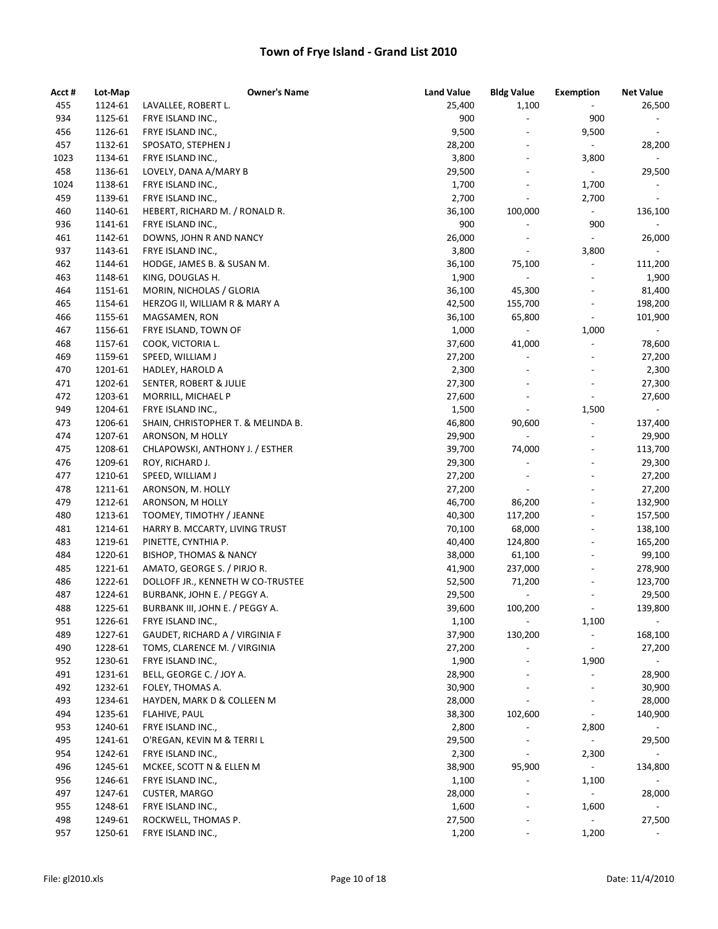| Acct # | Lot-Map | <b>Owner's Name</b>                | <b>Land Value</b> | <b>Bldg Value</b>            | <b>Exemption</b>             | <b>Net Value</b>         |
|--------|---------|------------------------------------|-------------------|------------------------------|------------------------------|--------------------------|
| 455    | 1124-61 | LAVALLEE, ROBERT L.                | 25,400            | 1,100                        | $\blacksquare$               | 26,500                   |
| 934    | 1125-61 | FRYE ISLAND INC.,                  | 900               | $\overline{\phantom{a}}$     | 900                          |                          |
| 456    | 1126-61 | FRYE ISLAND INC.,                  | 9,500             | $\overline{a}$               | 9,500                        | $\overline{\phantom{a}}$ |
| 457    | 1132-61 | SPOSATO, STEPHEN J                 | 28,200            | $\overline{\phantom{a}}$     | $\blacksquare$               | 28,200                   |
| 1023   | 1134-61 | FRYE ISLAND INC.,                  | 3,800             | $\overline{a}$               | 3,800                        | $\blacksquare$           |
| 458    | 1136-61 | LOVELY, DANA A/MARY B              | 29,500            |                              | $\blacksquare$               | 29,500                   |
| 1024   | 1138-61 | FRYE ISLAND INC.,                  | 1,700             |                              | 1,700                        |                          |
| 459    | 1139-61 | FRYE ISLAND INC.,                  | 2,700             | $\overline{a}$               | 2,700                        | $\overline{\phantom{a}}$ |
| 460    | 1140-61 | HEBERT, RICHARD M. / RONALD R.     | 36,100            | 100,000                      | $\blacksquare$               | 136,100                  |
| 936    | 1141-61 | FRYE ISLAND INC.,                  | 900               |                              | 900                          |                          |
| 461    | 1142-61 | DOWNS, JOHN R AND NANCY            | 26,000            |                              | $\overline{\phantom{a}}$     | 26,000                   |
| 937    | 1143-61 | FRYE ISLAND INC.,                  | 3,800             | $\overline{\phantom{a}}$     | 3,800                        | $\overline{\phantom{a}}$ |
| 462    | 1144-61 | HODGE, JAMES B. & SUSAN M.         | 36,100            | 75,100                       | $\overline{\phantom{a}}$     | 111,200                  |
| 463    | 1148-61 | KING, DOUGLAS H.                   | 1,900             |                              | $\qquad \qquad \blacksquare$ | 1,900                    |
| 464    | 1151-61 | MORIN, NICHOLAS / GLORIA           | 36,100            | 45,300                       | $\frac{1}{2}$                | 81,400                   |
| 465    | 1154-61 | HERZOG II, WILLIAM R & MARY A      | 42,500            | 155,700                      | $\overline{\phantom{a}}$     | 198,200                  |
| 466    | 1155-61 | MAGSAMEN, RON                      | 36,100            | 65,800                       | $\overline{\phantom{a}}$     | 101,900                  |
| 467    | 1156-61 | FRYE ISLAND, TOWN OF               | 1,000             | $\blacksquare$               | 1,000                        | $\sim$                   |
| 468    | 1157-61 | COOK, VICTORIA L.                  | 37,600            | 41,000                       | $\qquad \qquad \blacksquare$ | 78,600                   |
| 469    | 1159-61 | SPEED, WILLIAM J                   | 27,200            | $\blacksquare$               | $\overline{\phantom{a}}$     | 27,200                   |
| 470    | 1201-61 | HADLEY, HAROLD A                   | 2,300             | $\overline{a}$               | $\overline{\phantom{a}}$     | 2,300                    |
| 471    | 1202-61 | SENTER, ROBERT & JULIE             | 27,300            | $\overline{\phantom{a}}$     | $\overline{\phantom{a}}$     | 27,300                   |
| 472    | 1203-61 | MORRILL, MICHAEL P                 | 27,600            |                              | $\blacksquare$               | 27,600                   |
| 949    | 1204-61 | FRYE ISLAND INC.,                  | 1,500             | $\overline{\phantom{a}}$     | 1,500                        | $\sim$                   |
| 473    | 1206-61 | SHAIN, CHRISTOPHER T. & MELINDA B. | 46,800            | 90,600                       | $\overline{\phantom{a}}$     | 137,400                  |
| 474    | 1207-61 | ARONSON, M HOLLY                   | 29,900            | $\overline{\phantom{a}}$     | $\overline{\phantom{a}}$     | 29,900                   |
| 475    | 1208-61 | CHLAPOWSKI, ANTHONY J. / ESTHER    | 39,700            | 74,000                       | $\overline{\phantom{a}}$     | 113,700                  |
| 476    | 1209-61 | ROY, RICHARD J.                    | 29,300            | $\overline{\phantom{a}}$     | $\overline{\phantom{a}}$     | 29,300                   |
| 477    | 1210-61 | SPEED, WILLIAM J                   | 27,200            | $\overline{a}$               | $\overline{\phantom{a}}$     | 27,200                   |
| 478    | 1211-61 | ARONSON, M. HOLLY                  | 27,200            |                              | $\qquad \qquad \blacksquare$ | 27,200                   |
| 479    | 1212-61 | ARONSON, M HOLLY                   | 46,700            | 86,200                       |                              | 132,900                  |
| 480    | 1213-61 | TOOMEY, TIMOTHY / JEANNE           | 40,300            | 117,200                      |                              | 157,500                  |
| 481    | 1214-61 | HARRY B. MCCARTY, LIVING TRUST     | 70,100            | 68,000                       | $\overline{\phantom{a}}$     | 138,100                  |
| 483    | 1219-61 | PINETTE, CYNTHIA P.                | 40,400            | 124,800                      | $\overline{\phantom{a}}$     | 165,200                  |
| 484    | 1220-61 | <b>BISHOP, THOMAS &amp; NANCY</b>  | 38,000            | 61,100                       | $\overline{\phantom{a}}$     | 99,100                   |
| 485    | 1221-61 | AMATO, GEORGE S. / PIRJO R.        | 41,900            | 237,000                      | $\overline{\phantom{a}}$     | 278,900                  |
| 486    | 1222-61 | DOLLOFF JR., KENNETH W CO-TRUSTEE  | 52,500            | 71,200                       | $\overline{\phantom{a}}$     | 123,700                  |
| 487    | 1224-61 | BURBANK, JOHN E. / PEGGY A.        | 29,500            | $\qquad \qquad \blacksquare$ | $\overline{\phantom{a}}$     | 29,500                   |
| 488    | 1225-61 | BURBANK III, JOHN E. / PEGGY A.    | 39,600            | 100,200                      |                              | 139,800                  |
| 951    | 1226-61 | FRYE ISLAND INC.,                  | 1,100             |                              | 1,100                        |                          |
| 489    | 1227-61 | GAUDET, RICHARD A / VIRGINIA F     | 37,900            | 130,200                      | $\qquad \qquad \blacksquare$ | 168,100                  |
| 490    | 1228-61 | TOMS, CLARENCE M. / VIRGINIA       | 27,200            |                              | $\overline{\phantom{a}}$     | 27,200                   |
| 952    | 1230-61 | FRYE ISLAND INC.,                  | 1,900             |                              | 1,900                        | $ \,$                    |
| 491    | 1231-61 | BELL, GEORGE C. / JOY A.           | 28,900            |                              | $\overline{\phantom{a}}$     | 28,900                   |
| 492    | 1232-61 | FOLEY, THOMAS A.                   | 30,900            |                              | $\overline{\phantom{a}}$     | 30,900                   |
| 493    | 1234-61 | HAYDEN, MARK D & COLLEEN M         | 28,000            | $\frac{1}{2}$                | $\overline{\phantom{a}}$     | 28,000                   |
| 494    | 1235-61 | FLAHIVE, PAUL                      | 38,300            | 102,600                      | $\overline{\phantom{a}}$     | 140,900                  |
| 953    | 1240-61 | FRYE ISLAND INC.,                  | 2,800             |                              | 2,800                        |                          |
| 495    | 1241-61 | O'REGAN, KEVIN M & TERRI L         | 29,500            |                              | $\overline{\phantom{a}}$     | 29,500                   |
| 954    | 1242-61 | FRYE ISLAND INC.,                  | 2,300             |                              | 2,300                        | $\overline{\phantom{a}}$ |
| 496    | 1245-61 | MCKEE, SCOTT N & ELLEN M           | 38,900            | 95,900                       | $\pm$                        | 134,800                  |
| 956    | 1246-61 | FRYE ISLAND INC.,                  | 1,100             |                              | 1,100                        |                          |
| 497    | 1247-61 | <b>CUSTER, MARGO</b>               | 28,000            | $\overline{\phantom{a}}$     | $\overline{\phantom{a}}$     | 28,000                   |
| 955    | 1248-61 | FRYE ISLAND INC.,                  | 1,600             | $\qquad \qquad \blacksquare$ | 1,600                        |                          |
| 498    | 1249-61 | ROCKWELL, THOMAS P.                | 27,500            |                              | $\overline{\phantom{a}}$     | 27,500                   |
| 957    | 1250-61 | FRYE ISLAND INC.,                  | 1,200             |                              | 1,200                        |                          |
|        |         |                                    |                   |                              |                              |                          |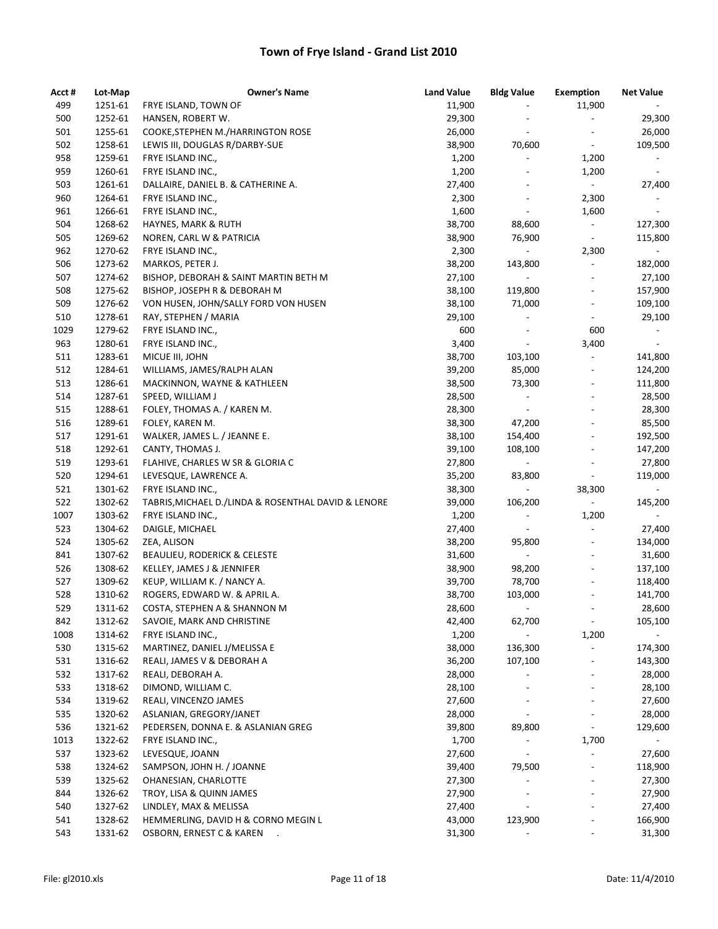| Acct # | Lot-Map | <b>Owner's Name</b>                                 | <b>Land Value</b> | <b>Bldg Value</b>        | <b>Exemption</b>             | <b>Net Value</b>         |
|--------|---------|-----------------------------------------------------|-------------------|--------------------------|------------------------------|--------------------------|
| 499    | 1251-61 | FRYE ISLAND, TOWN OF                                | 11,900            |                          | 11,900                       |                          |
| 500    | 1252-61 | HANSEN, ROBERT W.                                   | 29,300            |                          | $\overline{\phantom{a}}$     | 29,300                   |
| 501    | 1255-61 | COOKE, STEPHEN M./HARRINGTON ROSE                   | 26,000            | $\overline{a}$           |                              | 26,000                   |
| 502    | 1258-61 | LEWIS III, DOUGLAS R/DARBY-SUE                      | 38,900            | 70,600                   | $\overline{\phantom{a}}$     | 109,500                  |
| 958    | 1259-61 | FRYE ISLAND INC.,                                   | 1,200             | $\overline{\phantom{a}}$ | 1,200                        | $\blacksquare$           |
| 959    | 1260-61 | FRYE ISLAND INC.,                                   | 1,200             | $\overline{a}$           | 1,200                        | $\overline{\phantom{a}}$ |
| 503    | 1261-61 | DALLAIRE, DANIEL B. & CATHERINE A.                  | 27,400            |                          | $\blacksquare$               | 27,400                   |
| 960    | 1264-61 | FRYE ISLAND INC.,                                   | 2,300             | $\overline{a}$           | 2,300                        | $\overline{\phantom{a}}$ |
| 961    | 1266-61 | FRYE ISLAND INC.,                                   | 1,600             | $\overline{\phantom{a}}$ | 1,600                        | $\blacksquare$           |
| 504    | 1268-62 | HAYNES, MARK & RUTH                                 | 38,700            | 88,600                   | $\overline{\phantom{a}}$     | 127,300                  |
| 505    | 1269-62 | NOREN, CARL W & PATRICIA                            | 38,900            | 76,900                   | $\overline{\phantom{a}}$     | 115,800                  |
| 962    | 1270-62 | FRYE ISLAND INC.,                                   | 2,300             | $\blacksquare$           | 2,300                        | $\blacksquare$           |
| 506    | 1273-62 | MARKOS, PETER J.                                    | 38,200            | 143,800                  | $\overline{\phantom{a}}$     | 182,000                  |
| 507    | 1274-62 | BISHOP, DEBORAH & SAINT MARTIN BETH M               | 27,100            |                          | $\overline{\phantom{0}}$     | 27,100                   |
| 508    | 1275-62 | BISHOP, JOSEPH R & DEBORAH M                        | 38,100            | 119,800                  | $\frac{1}{2}$                | 157,900                  |
| 509    | 1276-62 | VON HUSEN, JOHN/SALLY FORD VON HUSEN                | 38,100            | 71,000                   | $\qquad \qquad \blacksquare$ | 109,100                  |
| 510    | 1278-61 | RAY, STEPHEN / MARIA                                | 29,100            | $\overline{\phantom{a}}$ | $\overline{\phantom{a}}$     | 29,100                   |
| 1029   | 1279-62 | FRYE ISLAND INC.,                                   | 600               | $\overline{a}$           | 600                          |                          |
| 963    | 1280-61 | FRYE ISLAND INC.,                                   | 3,400             | $\overline{\phantom{a}}$ | 3,400                        | $\overline{\phantom{a}}$ |
| 511    | 1283-61 | MICUE III, JOHN                                     | 38,700            | 103,100                  | $\blacksquare$               | 141,800                  |
| 512    | 1284-61 | WILLIAMS, JAMES/RALPH ALAN                          | 39,200            | 85,000                   | $\overline{\phantom{a}}$     | 124,200                  |
| 513    | 1286-61 | MACKINNON, WAYNE & KATHLEEN                         | 38,500            | 73,300                   | $\overline{\phantom{a}}$     | 111,800                  |
| 514    | 1287-61 | SPEED, WILLIAM J                                    | 28,500            | $\overline{\phantom{a}}$ | $\overline{\phantom{a}}$     | 28,500                   |
| 515    | 1288-61 | FOLEY, THOMAS A. / KAREN M.                         | 28,300            | $\blacksquare$           | $\frac{1}{2}$                | 28,300                   |
| 516    | 1289-61 | FOLEY, KAREN M.                                     | 38,300            | 47,200                   | $\overline{\phantom{a}}$     | 85,500                   |
| 517    | 1291-61 | WALKER, JAMES L. / JEANNE E.                        | 38,100            | 154,400                  | $\qquad \qquad \blacksquare$ | 192,500                  |
| 518    | 1292-61 | CANTY, THOMAS J.                                    | 39,100            | 108,100                  | $\overline{\phantom{a}}$     | 147,200                  |
| 519    | 1293-61 | FLAHIVE, CHARLES W SR & GLORIA C                    | 27,800            | $\blacksquare$           | $\qquad \qquad \blacksquare$ | 27,800                   |
| 520    | 1294-61 | LEVESQUE, LAWRENCE A.                               | 35,200            | 83,800                   | $\overline{\phantom{a}}$     | 119,000                  |
| 521    | 1301-62 | FRYE ISLAND INC.,                                   | 38,300            |                          | 38,300                       |                          |
| 522    | 1302-62 | TABRIS, MICHAEL D./LINDA & ROSENTHAL DAVID & LENORE | 39,000            | 106,200                  |                              | 145,200                  |
| 1007   | 1303-62 | FRYE ISLAND INC.,                                   | 1,200             | $\overline{\phantom{a}}$ | 1,200                        |                          |
| 523    | 1304-62 | DAIGLE, MICHAEL                                     | 27,400            | $\overline{\phantom{a}}$ | $\overline{\phantom{a}}$     | 27,400                   |
| 524    | 1305-62 | ZEA, ALISON                                         | 38,200            | 95,800                   | $\overline{\phantom{a}}$     | 134,000                  |
| 841    | 1307-62 | <b>BEAULIEU, RODERICK &amp; CELESTE</b>             | 31,600            | $\overline{\phantom{a}}$ | $\overline{\phantom{a}}$     | 31,600                   |
| 526    | 1308-62 | KELLEY, JAMES J & JENNIFER                          | 38,900            | 98,200                   | $\qquad \qquad \blacksquare$ | 137,100                  |
| 527    | 1309-62 | KEUP, WILLIAM K. / NANCY A.                         | 39,700            | 78,700                   | $\overline{\phantom{a}}$     | 118,400                  |
| 528    | 1310-62 | ROGERS, EDWARD W. & APRIL A.                        | 38,700            | 103,000                  | $\overline{\phantom{a}}$     | 141,700                  |
| 529    | 1311-62 | COSTA, STEPHEN A & SHANNON M                        | 28,600            |                          |                              | 28,600                   |
| 842    | 1312-62 | SAVOIE, MARK AND CHRISTINE                          | 42,400            | 62,700                   | $\blacksquare$               | 105,100                  |
| 1008   | 1314-62 | FRYE ISLAND INC.,                                   | 1,200             |                          | 1,200                        |                          |
| 530    | 1315-62 | MARTINEZ, DANIEL J/MELISSA E                        | 38,000            | 136,300                  | $\overline{\phantom{a}}$     | 174,300                  |
| 531    | 1316-62 | REALI, JAMES V & DEBORAH A                          | 36,200            | 107,100                  |                              | 143,300                  |
| 532    | 1317-62 | REALI, DEBORAH A.                                   | 28,000            | $\overline{\phantom{a}}$ |                              | 28,000                   |
| 533    | 1318-62 | DIMOND, WILLIAM C.                                  | 28,100            |                          | $\overline{\phantom{0}}$     | 28,100                   |
| 534    | 1319-62 | REALI, VINCENZO JAMES                               | 27,600            |                          | $\overline{\phantom{a}}$     | 27,600                   |
| 535    | 1320-62 | ASLANIAN, GREGORY/JANET                             | 28,000            |                          |                              | 28,000                   |
| 536    | 1321-62 | PEDERSEN, DONNA E. & ASLANIAN GREG                  | 39,800            | 89,800                   |                              | 129,600                  |
| 1013   | 1322-62 | FRYE ISLAND INC.,                                   | 1,700             |                          | 1,700                        |                          |
| 537    | 1323-62 | LEVESQUE, JOANN                                     | 27,600            | $\overline{\phantom{a}}$ | $\overline{\phantom{a}}$     | 27,600                   |
| 538    | 1324-62 | SAMPSON, JOHN H. / JOANNE                           | 39,400            | 79,500                   | $\overline{\phantom{a}}$     | 118,900                  |
| 539    | 1325-62 | OHANESIAN, CHARLOTTE                                | 27,300            |                          |                              | 27,300                   |
| 844    | 1326-62 | TROY, LISA & QUINN JAMES                            | 27,900            |                          |                              | 27,900                   |
| 540    | 1327-62 | LINDLEY, MAX & MELISSA                              | 27,400            |                          |                              | 27,400                   |
| 541    | 1328-62 | HEMMERLING, DAVID H & CORNO MEGIN L                 | 43,000            | 123,900                  |                              | 166,900                  |
| 543    | 1331-62 | OSBORN, ERNEST C & KAREN                            |                   |                          |                              | 31,300                   |
|        |         |                                                     | 31,300            |                          |                              |                          |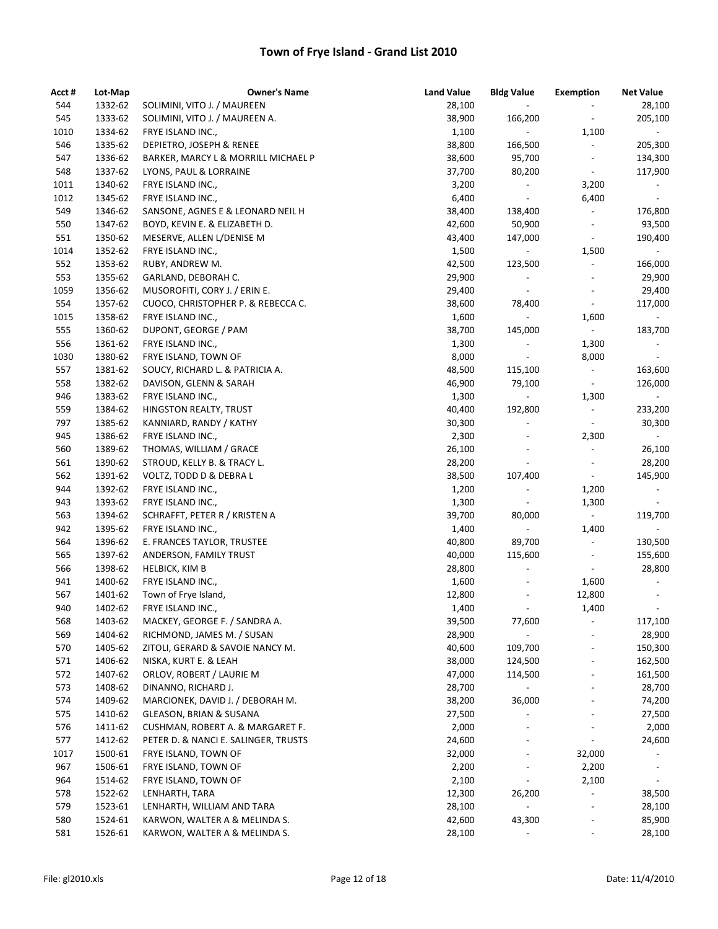| Acct # | Lot-Map | <b>Owner's Name</b>                  | <b>Land Value</b> | <b>Bldg Value</b>        | <b>Exemption</b>             | <b>Net Value</b>         |
|--------|---------|--------------------------------------|-------------------|--------------------------|------------------------------|--------------------------|
| 544    | 1332-62 | SOLIMINI, VITO J. / MAUREEN          | 28,100            | $\overline{\phantom{a}}$ | $\overline{\phantom{a}}$     | 28,100                   |
| 545    | 1333-62 | SOLIMINI, VITO J. / MAUREEN A.       | 38,900            | 166,200                  | $\overline{\phantom{a}}$     | 205,100                  |
| 1010   | 1334-62 | FRYE ISLAND INC.,                    | 1,100             | $\blacksquare$           | 1,100                        | $\sim$                   |
| 546    | 1335-62 | DEPIETRO, JOSEPH & RENEE             | 38,800            | 166,500                  | $\overline{\phantom{a}}$     | 205,300                  |
| 547    | 1336-62 | BARKER, MARCY L & MORRILL MICHAEL P  | 38,600            | 95,700                   | $\overline{\phantom{a}}$     | 134,300                  |
| 548    | 1337-62 | LYONS, PAUL & LORRAINE               | 37,700            | 80,200                   | $\overline{\phantom{a}}$     | 117,900                  |
| 1011   | 1340-62 | FRYE ISLAND INC.,                    | 3,200             | $\overline{\phantom{a}}$ | 3,200                        | $\overline{\phantom{a}}$ |
| 1012   | 1345-62 | FRYE ISLAND INC.,                    | 6,400             | $\blacksquare$           | 6,400                        | $\overline{\phantom{a}}$ |
| 549    | 1346-62 | SANSONE, AGNES E & LEONARD NEIL H    | 38,400            | 138,400                  | $\overline{\phantom{a}}$     | 176,800                  |
| 550    | 1347-62 | BOYD, KEVIN E. & ELIZABETH D.        | 42,600            | 50,900                   | $\overline{\phantom{a}}$     | 93,500                   |
| 551    | 1350-62 | MESERVE, ALLEN L/DENISE M            | 43,400            | 147,000                  | $\overline{\phantom{a}}$     | 190,400                  |
| 1014   | 1352-62 | FRYE ISLAND INC.,                    | 1,500             |                          | 1,500                        | $\sim$                   |
| 552    | 1353-62 | RUBY, ANDREW M.                      | 42,500            | 123,500                  | $\overline{\phantom{a}}$     | 166,000                  |
| 553    | 1355-62 | GARLAND, DEBORAH C.                  | 29,900            |                          | $\overline{\phantom{a}}$     | 29,900                   |
| 1059   | 1356-62 | MUSOROFITI, CORY J. / ERIN E.        | 29,400            | $\overline{\phantom{a}}$ | $\overline{\phantom{a}}$     | 29,400                   |
| 554    | 1357-62 | CUOCO, CHRISTOPHER P. & REBECCA C.   | 38,600            | 78,400                   | $\overline{\phantom{a}}$     | 117,000                  |
| 1015   | 1358-62 | FRYE ISLAND INC.,                    | 1,600             | $\overline{\phantom{a}}$ | 1,600                        | $\sim$                   |
| 555    | 1360-62 | DUPONT, GEORGE / PAM                 | 38,700            | 145,000                  | $\omega$                     | 183,700                  |
| 556    | 1361-62 | FRYE ISLAND INC.,                    | 1,300             | $\overline{\phantom{a}}$ | 1,300                        | $\overline{\phantom{a}}$ |
| 1030   | 1380-62 | FRYE ISLAND, TOWN OF                 | 8,000             | $\overline{\phantom{a}}$ | 8,000                        | $\blacksquare$           |
| 557    | 1381-62 | SOUCY, RICHARD L. & PATRICIA A.      | 48,500            | 115,100                  | $\overline{\phantom{a}}$     | 163,600                  |
| 558    | 1382-62 | DAVISON, GLENN & SARAH               | 46,900            | 79,100                   | $\blacksquare$               | 126,000                  |
| 946    | 1383-62 | FRYE ISLAND INC.,                    | 1,300             | $\overline{\phantom{a}}$ | 1,300                        | $\sim$                   |
| 559    | 1384-62 | HINGSTON REALTY, TRUST               | 40,400            | 192,800                  | $\overline{\phantom{a}}$     | 233,200                  |
| 797    | 1385-62 | KANNIARD, RANDY / KATHY              | 30,300            | $\overline{\phantom{a}}$ | $\overline{\phantom{a}}$     | 30,300                   |
| 945    | 1386-62 | FRYE ISLAND INC.,                    | 2,300             | $\overline{\phantom{a}}$ | 2,300                        | $\sim$                   |
| 560    | 1389-62 | THOMAS, WILLIAM / GRACE              | 26,100            | $\overline{a}$           | $\overline{\phantom{a}}$     | 26,100                   |
| 561    | 1390-62 | STROUD, KELLY B. & TRACY L.          | 28,200            | $\overline{\phantom{a}}$ | $\overline{\phantom{a}}$     | 28,200                   |
| 562    | 1391-62 | VOLTZ, TODD D & DEBRA L              | 38,500            | 107,400                  | $\overline{\phantom{a}}$     | 145,900                  |
| 944    | 1392-62 | FRYE ISLAND INC.,                    | 1,200             | $\overline{\phantom{a}}$ | 1,200                        | $\sim$                   |
| 943    | 1393-62 | FRYE ISLAND INC.,                    | 1,300             | $\overline{\phantom{a}}$ | 1,300                        | $\blacksquare$           |
| 563    | 1394-62 | SCHRAFFT, PETER R / KRISTEN A        | 39,700            | 80,000                   | $\blacksquare$               | 119,700                  |
| 942    | 1395-62 | FRYE ISLAND INC.,                    | 1,400             |                          | 1,400                        |                          |
| 564    | 1396-62 | E. FRANCES TAYLOR, TRUSTEE           | 40,800            | 89,700                   | $\overline{\phantom{a}}$     | 130,500                  |
| 565    | 1397-62 | ANDERSON, FAMILY TRUST               | 40,000            | 115,600                  | $\overline{\phantom{a}}$     | 155,600                  |
| 566    | 1398-62 | <b>HELBICK, KIM B</b>                | 28,800            | $\overline{\phantom{0}}$ | $\overline{\phantom{a}}$     | 28,800                   |
| 941    | 1400-62 | FRYE ISLAND INC.,                    | 1,600             |                          | 1,600                        | $\blacksquare$           |
| 567    | 1401-62 | Town of Frye Island,                 | 12,800            | $\overline{a}$           | 12,800                       | $\overline{\phantom{a}}$ |
| 940    | 1402-62 | FRYE ISLAND INC.,                    | 1,400             |                          | 1,400                        |                          |
| 568    | 1403-62 | MACKEY, GEORGE F. / SANDRA A.        | 39,500            | 77,600                   |                              | 117,100                  |
| 569    | 1404-62 | RICHMOND, JAMES M. / SUSAN           | 28,900            |                          |                              | 28,900                   |
| 570    | 1405-62 | ZITOLI, GERARD & SAVOIE NANCY M.     | 40,600            | 109,700                  |                              | 150,300                  |
| 571    | 1406-62 | NISKA, KURT E. & LEAH                | 38,000            | 124,500                  |                              | 162,500                  |
| 572    | 1407-62 | ORLOV, ROBERT / LAURIE M             | 47,000            | 114,500                  |                              | 161,500                  |
| 573    | 1408-62 | DINANNO, RICHARD J.                  | 28,700            | $\blacksquare$           |                              | 28,700                   |
| 574    | 1409-62 | MARCIONEK, DAVID J. / DEBORAH M.     | 38,200            | 36,000                   |                              | 74,200                   |
| 575    | 1410-62 | GLEASON, BRIAN & SUSANA              | 27,500            | $\overline{a}$           | $\overline{\phantom{a}}$     | 27,500                   |
| 576    | 1411-62 | CUSHMAN, ROBERT A. & MARGARET F.     | 2,000             |                          |                              | 2,000                    |
| 577    | 1412-62 | PETER D. & NANCI E. SALINGER, TRUSTS | 24,600            |                          | $\qquad \qquad \blacksquare$ | 24,600                   |
| 1017   | 1500-61 | FRYE ISLAND, TOWN OF                 | 32,000            | $\overline{\phantom{a}}$ | 32,000                       |                          |
| 967    | 1506-61 | FRYE ISLAND, TOWN OF                 | 2,200             |                          | 2,200                        | $\overline{\phantom{a}}$ |
| 964    | 1514-62 | FRYE ISLAND, TOWN OF                 | 2,100             | $\overline{\phantom{a}}$ | 2,100                        | $\blacksquare$           |
| 578    | 1522-62 | LENHARTH, TARA                       | 12,300            | 26,200                   | $\overline{\phantom{0}}$     | 38,500                   |
| 579    | 1523-61 | LENHARTH, WILLIAM AND TARA           | 28,100            |                          | $\overline{\phantom{0}}$     | 28,100                   |
| 580    | 1524-61 | KARWON, WALTER A & MELINDA S.        | 42,600            | 43,300                   | $\qquad \qquad \blacksquare$ | 85,900                   |
| 581    | 1526-61 | KARWON, WALTER A & MELINDA S.        | 28,100            |                          | $\overline{\phantom{a}}$     | 28,100                   |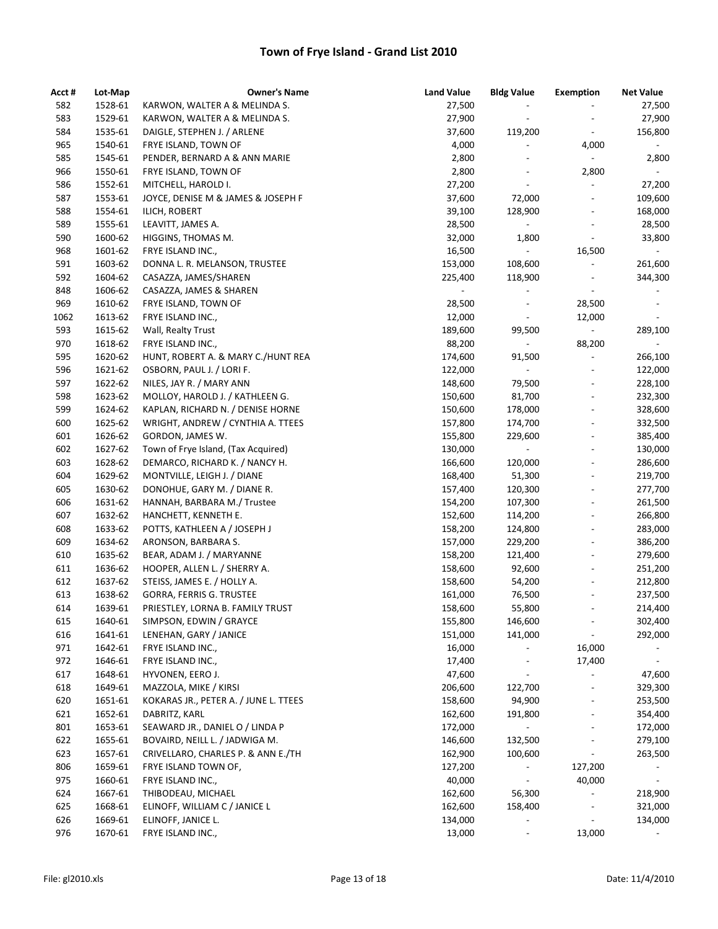| Acct # | Lot-Map | <b>Owner's Name</b>                   | <b>Land Value</b> | <b>Bldg Value</b>        | <b>Exemption</b>                                         | <b>Net Value</b>         |
|--------|---------|---------------------------------------|-------------------|--------------------------|----------------------------------------------------------|--------------------------|
| 582    | 1528-61 | KARWON, WALTER A & MELINDA S.         | 27,500            |                          |                                                          | 27,500                   |
| 583    | 1529-61 | KARWON, WALTER A & MELINDA S.         | 27,900            | $\overline{\phantom{a}}$ |                                                          | 27,900                   |
| 584    | 1535-61 | DAIGLE, STEPHEN J. / ARLENE           | 37,600            | 119,200                  | $\overline{\phantom{a}}$                                 | 156,800                  |
| 965    | 1540-61 | FRYE ISLAND, TOWN OF                  | 4,000             | $\overline{a}$           | 4,000                                                    | $\sim$                   |
| 585    | 1545-61 | PENDER, BERNARD A & ANN MARIE         | 2,800             | $\overline{\phantom{a}}$ | $\overline{\phantom{a}}$                                 | 2,800                    |
| 966    | 1550-61 | FRYE ISLAND, TOWN OF                  | 2,800             | $\overline{a}$           | 2,800                                                    | $\overline{\phantom{a}}$ |
| 586    | 1552-61 | MITCHELL, HAROLD I.                   | 27,200            | $\overline{\phantom{a}}$ | $\overline{\phantom{a}}$                                 | 27,200                   |
| 587    | 1553-61 | JOYCE, DENISE M & JAMES & JOSEPH F    | 37,600            | 72,000                   | $\overline{\phantom{a}}$                                 | 109,600                  |
| 588    | 1554-61 | ILICH, ROBERT                         | 39,100            | 128,900                  | $\overline{\phantom{a}}$                                 | 168,000                  |
| 589    | 1555-61 | LEAVITT, JAMES A.                     | 28,500            | $\blacksquare$           | $\overline{\phantom{a}}$                                 | 28,500                   |
| 590    | 1600-62 | HIGGINS, THOMAS M.                    | 32,000            | 1,800                    | $\blacksquare$                                           | 33,800                   |
| 968    | 1601-62 | FRYE ISLAND INC.,                     | 16,500            | $\Box$                   | 16,500                                                   | $\blacksquare$           |
| 591    | 1603-62 | DONNA L. R. MELANSON, TRUSTEE         | 153,000           | 108,600                  | $\overline{\phantom{a}}$                                 | 261,600                  |
| 592    | 1604-62 | CASAZZA, JAMES/SHAREN                 | 225,400           | 118,900                  | $\qquad \qquad \blacksquare$                             | 344,300                  |
| 848    | 1606-62 | CASAZZA, JAMES & SHAREN               |                   |                          |                                                          |                          |
| 969    | 1610-62 | FRYE ISLAND, TOWN OF                  | 28,500            | $\overline{\phantom{a}}$ | 28,500                                                   | $\overline{\phantom{a}}$ |
| 1062   | 1613-62 | FRYE ISLAND INC.,                     | 12,000            | $\overline{\phantom{a}}$ | 12,000                                                   | $\overline{\phantom{0}}$ |
| 593    | 1615-62 | Wall, Realty Trust                    | 189,600           | 99,500                   | $\blacksquare$                                           | 289,100                  |
| 970    | 1618-62 | FRYE ISLAND INC.,                     | 88,200            | $\sim$                   | 88,200                                                   | $\sim$                   |
| 595    | 1620-62 | HUNT, ROBERT A. & MARY C./HUNT REA    | 174,600           | 91,500                   | $\blacksquare$                                           | 266,100                  |
| 596    | 1621-62 | OSBORN, PAUL J. / LORI F.             | 122,000           | $\Box$                   | $\overline{\phantom{a}}$                                 | 122,000                  |
| 597    | 1622-62 | NILES, JAY R. / MARY ANN              | 148,600           | 79,500                   | $\overline{\phantom{0}}$                                 | 228,100                  |
| 598    | 1623-62 | MOLLOY, HAROLD J. / KATHLEEN G.       | 150,600           | 81,700                   | $\qquad \qquad \blacksquare$                             | 232,300                  |
| 599    | 1624-62 | KAPLAN, RICHARD N. / DENISE HORNE     | 150,600           | 178,000                  | $\qquad \qquad \blacksquare$                             | 328,600                  |
| 600    | 1625-62 | WRIGHT, ANDREW / CYNTHIA A. TTEES     | 157,800           | 174,700                  | $\overline{\phantom{a}}$                                 |                          |
| 601    | 1626-62 | GORDON, JAMES W.                      | 155,800           | 229,600                  | $\overline{\phantom{a}}$                                 | 332,500<br>385,400       |
| 602    | 1627-62 | Town of Frye Island, (Tax Acquired)   | 130,000           | $\blacksquare$           | $\frac{1}{2}$                                            | 130,000                  |
| 603    |         |                                       |                   |                          | $\qquad \qquad \blacksquare$                             |                          |
| 604    | 1628-62 | DEMARCO, RICHARD K. / NANCY H.        | 166,600           | 120,000                  |                                                          | 286,600                  |
| 605    | 1629-62 | MONTVILLE, LEIGH J. / DIANE           | 168,400           | 51,300                   | $\overline{\phantom{a}}$                                 | 219,700                  |
|        | 1630-62 | DONOHUE, GARY M. / DIANE R.           | 157,400           | 120,300                  | $\overline{\phantom{a}}$<br>$\qquad \qquad \blacksquare$ | 277,700                  |
| 606    | 1631-62 | HANNAH, BARBARA M./ Trustee           | 154,200           | 107,300                  | $\frac{1}{2}$                                            | 261,500                  |
| 607    | 1632-62 | HANCHETT, KENNETH E.                  | 152,600           | 114,200                  |                                                          | 266,800                  |
| 608    | 1633-62 | POTTS, KATHLEEN A / JOSEPH J          | 158,200           | 124,800                  | $\overline{\phantom{a}}$                                 | 283,000                  |
| 609    | 1634-62 | ARONSON, BARBARA S.                   | 157,000           | 229,200                  | $\overline{\phantom{a}}$                                 | 386,200                  |
| 610    | 1635-62 | BEAR, ADAM J. / MARYANNE              | 158,200           | 121,400                  | $\overline{\phantom{a}}$                                 | 279,600                  |
| 611    | 1636-62 | HOOPER, ALLEN L. / SHERRY A.          | 158,600           | 92,600                   | $\qquad \qquad \blacksquare$                             | 251,200                  |
| 612    | 1637-62 | STEISS, JAMES E. / HOLLY A.           | 158,600           | 54,200                   | $\overline{\phantom{a}}$                                 | 212,800                  |
| 613    | 1638-62 | GORRA, FERRIS G. TRUSTEE              | 161,000           | 76,500                   | $\overline{\phantom{a}}$                                 | 237,500                  |
| 614    | 1639-61 | PRIESTLEY, LORNA B. FAMILY TRUST      | 158,600           | 55,800                   |                                                          | 214,400                  |
| 615    | 1640-61 | SIMPSON, EDWIN / GRAYCE               | 155,800           | 146,600                  |                                                          | 302,400                  |
| 616    | 1641-61 | LENEHAN, GARY / JANICE                | 151,000           | 141,000                  |                                                          | 292,000                  |
| 971    | 1642-61 | FRYE ISLAND INC.,                     | 16,000            |                          | 16,000                                                   |                          |
| 972    | 1646-61 | FRYE ISLAND INC.,                     | 17,400            |                          | 17,400                                                   | $\overline{\phantom{a}}$ |
| 617    | 1648-61 | HYVONEN, EERO J.                      | 47,600            | $\overline{\phantom{a}}$ | $\overline{\phantom{a}}$                                 | 47,600                   |
| 618    | 1649-61 | MAZZOLA, MIKE / KIRSI                 | 206,600           | 122,700                  | $\qquad \qquad \blacksquare$                             | 329,300                  |
| 620    | 1651-61 | KOKARAS JR., PETER A. / JUNE L. TTEES | 158,600           | 94,900                   | $\overline{\phantom{0}}$                                 | 253,500                  |
| 621    | 1652-61 | DABRITZ, KARL                         | 162,600           | 191,800                  |                                                          | 354,400                  |
| 801    | 1653-61 | SEAWARD JR., DANIEL O / LINDA P       | 172,000           |                          |                                                          | 172,000                  |
| 622    | 1655-61 | BOVAIRD, NEILL L. / JADWIGA M.        | 146,600           | 132,500                  |                                                          | 279,100                  |
| 623    | 1657-61 | CRIVELLARO, CHARLES P. & ANN E./TH    | 162,900           | 100,600                  | $\overline{\phantom{a}}$                                 | 263,500                  |
| 806    | 1659-61 | FRYE ISLAND TOWN OF,                  | 127,200           |                          | 127,200                                                  |                          |
| 975    | 1660-61 | FRYE ISLAND INC.,                     | 40,000            | $\blacksquare$           | 40,000                                                   | $\blacksquare$           |
| 624    | 1667-61 | THIBODEAU, MICHAEL                    | 162,600           | 56,300                   | $\overline{\phantom{0}}$                                 | 218,900                  |
| 625    | 1668-61 | ELINOFF, WILLIAM C / JANICE L         | 162,600           | 158,400                  | $\overline{\phantom{a}}$                                 | 321,000                  |
| 626    | 1669-61 | ELINOFF, JANICE L.                    | 134,000           |                          |                                                          | 134,000                  |
| 976    | 1670-61 | FRYE ISLAND INC.,                     | 13,000            | $\overline{\phantom{a}}$ | 13,000                                                   |                          |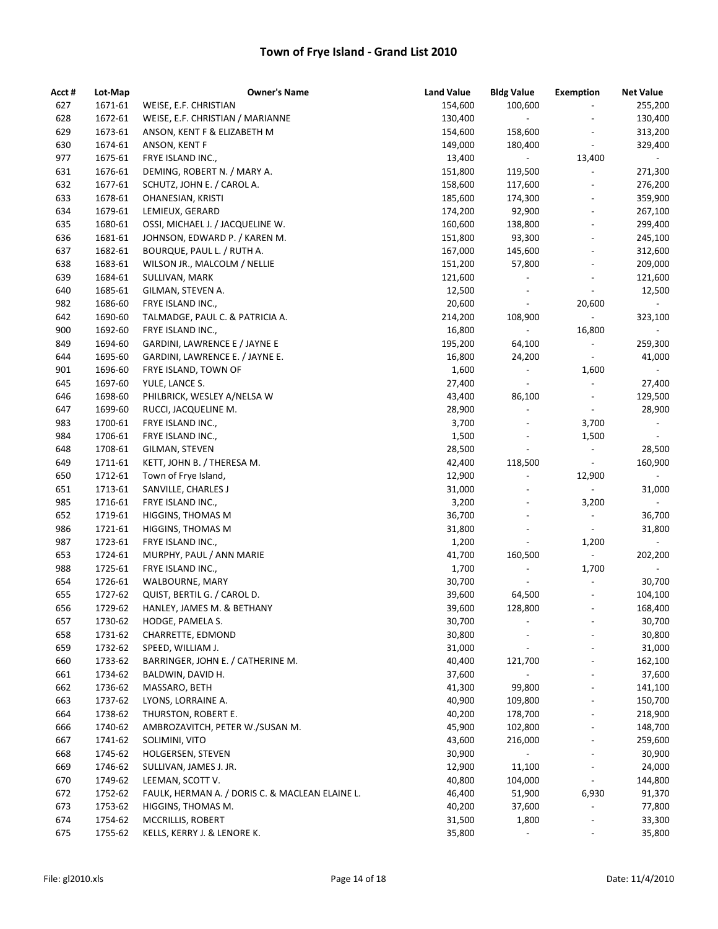| Acct #     | Lot-Map            | <b>Owner's Name</b>                             | <b>Land Value</b> | <b>Bldg Value</b>            | <b>Exemption</b>                                     | <b>Net Value</b>                    |
|------------|--------------------|-------------------------------------------------|-------------------|------------------------------|------------------------------------------------------|-------------------------------------|
| 627        | 1671-61            | WEISE, E.F. CHRISTIAN                           | 154,600           | 100,600                      | $\overline{\phantom{a}}$                             | 255,200                             |
| 628        | 1672-61            | WEISE, E.F. CHRISTIAN / MARIANNE                | 130,400           | $\overline{\phantom{a}}$     |                                                      | 130,400                             |
| 629        | 1673-61            | ANSON, KENT F & ELIZABETH M                     | 154,600           | 158,600                      | $\overline{\phantom{a}}$                             | 313,200                             |
| 630        | 1674-61            | ANSON, KENT F                                   | 149,000           | 180,400                      | $\overline{\phantom{a}}$                             | 329,400                             |
| 977        | 1675-61            | FRYE ISLAND INC.,                               | 13,400            | $\qquad \qquad \blacksquare$ | 13,400                                               |                                     |
| 631        | 1676-61            | DEMING, ROBERT N. / MARY A.                     | 151,800           | 119,500                      | $\qquad \qquad \blacksquare$                         | 271,300                             |
| 632        | 1677-61            | SCHUTZ, JOHN E. / CAROL A.                      | 158,600           | 117,600                      | $\overline{\phantom{a}}$                             | 276,200                             |
| 633        | 1678-61            | OHANESIAN, KRISTI                               | 185,600           | 174,300                      | $\overline{\phantom{a}}$                             | 359,900                             |
| 634        | 1679-61            | LEMIEUX, GERARD                                 | 174,200           | 92,900                       | $\overline{\phantom{a}}$                             | 267,100                             |
| 635        | 1680-61            | OSSI, MICHAEL J. / JACQUELINE W.                | 160,600           | 138,800                      | $\overline{\phantom{a}}$                             | 299,400                             |
| 636        | 1681-61            | JOHNSON, EDWARD P. / KAREN M.                   | 151,800           | 93,300                       | $\overline{\phantom{a}}$                             | 245,100                             |
| 637        | 1682-61            | BOURQUE, PAUL L. / RUTH A.                      | 167,000           | 145,600                      | $\overline{\phantom{a}}$                             | 312,600                             |
| 638        | 1683-61            | WILSON JR., MALCOLM / NELLIE                    | 151,200           | 57,800                       | $\qquad \qquad \blacksquare$                         | 209,000                             |
| 639        | 1684-61            | SULLIVAN, MARK                                  | 121,600           |                              | $\qquad \qquad \blacksquare$                         | 121,600                             |
| 640        | 1685-61            | GILMAN, STEVEN A.                               | 12,500            | $\overline{\phantom{a}}$     | $\overline{\phantom{a}}$                             | 12,500                              |
| 982        | 1686-60            | FRYE ISLAND INC.,                               | 20,600            | $\blacksquare$               | 20,600                                               | $\sim$                              |
| 642        | 1690-60            | TALMADGE, PAUL C. & PATRICIA A.                 | 214,200           | 108,900                      | $\omega_{\rm c}$                                     | 323,100                             |
| 900        | 1692-60            | FRYE ISLAND INC.,                               | 16,800            | $\blacksquare$               | 16,800                                               | $\sim$                              |
| 849        | 1694-60            | GARDINI, LAWRENCE E / JAYNE E                   | 195,200           | 64,100                       | $\overline{\phantom{a}}$                             | 259,300                             |
| 644        | 1695-60            | GARDINI, LAWRENCE E. / JAYNE E.                 | 16,800            | 24,200                       | $\overline{\phantom{a}}$                             | 41,000                              |
| 901        | 1696-60            | FRYE ISLAND, TOWN OF                            | 1,600             | $\overline{\phantom{a}}$     | 1,600                                                | $\overline{\phantom{a}}$            |
| 645        | 1697-60            | YULE, LANCE S.                                  | 27,400            | $\overline{\phantom{a}}$     | $\overline{\phantom{a}}$                             | 27,400                              |
| 646        | 1698-60            | PHILBRICK, WESLEY A/NELSA W                     | 43,400            | 86,100                       | $\overline{\phantom{a}}$                             | 129,500                             |
| 647        | 1699-60            | RUCCI, JACQUELINE M.                            | 28,900            | $\overline{\phantom{a}}$     | $\overline{\phantom{a}}$                             | 28,900                              |
| 983        | 1700-61            | FRYE ISLAND INC.,                               | 3,700             | $\overline{\phantom{a}}$     | 3,700                                                | $\overline{\phantom{a}}$            |
| 984        | 1706-61            | FRYE ISLAND INC.,                               | 1,500             | $\qquad \qquad \blacksquare$ | 1,500                                                | $\blacksquare$                      |
| 648        | 1708-61            | GILMAN, STEVEN                                  | 28,500            | $\overline{\phantom{a}}$     | $\overline{\phantom{a}}$                             | 28,500                              |
| 649        | 1711-61            | KETT, JOHN B. / THERESA M.                      | 42,400            | 118,500                      | $\overline{\phantom{a}}$                             | 160,900                             |
| 650        | 1712-61            | Town of Frye Island,                            | 12,900            |                              | 12,900                                               |                                     |
| 651        | 1713-61            | SANVILLE, CHARLES J                             | 31,000            |                              | $\overline{\phantom{a}}$                             | 31,000                              |
| 985        | 1716-61            | FRYE ISLAND INC.,                               | 3,200             |                              | 3,200                                                |                                     |
| 652        | 1719-61            | HIGGINS, THOMAS M                               | 36,700            | $\overline{a}$               |                                                      | 36,700                              |
| 986        | 1721-61            | HIGGINS, THOMAS M                               | 31,800            | ÷,                           | $\overline{\phantom{a}}$<br>$\overline{\phantom{a}}$ | 31,800                              |
|            |                    |                                                 |                   | $\overline{\phantom{a}}$     |                                                      |                                     |
| 987        | 1723-61            | FRYE ISLAND INC.,                               | 1,200             |                              | 1,200<br>$\omega_{\rm{eff}}$                         |                                     |
| 653        | 1724-61            | MURPHY, PAUL / ANN MARIE                        | 41,700            | 160,500                      |                                                      | 202,200<br>$\overline{\phantom{0}}$ |
| 988<br>654 | 1725-61<br>1726-61 | FRYE ISLAND INC.,                               | 1,700             | $\overline{\phantom{a}}$     | 1,700                                                |                                     |
|            |                    | WALBOURNE, MARY                                 | 30,700            | $\overline{\phantom{a}}$     | $\overline{\phantom{a}}$                             | 30,700                              |
| 655        | 1727-62            | QUIST, BERTIL G. / CAROL D.                     | 39,600            | 64,500                       | $\overline{\phantom{a}}$                             | 104,100                             |
| 656        | 1729-62            | HANLEY, JAMES M. & BETHANY                      | 39,600            | 128,800                      |                                                      | 168,400                             |
| 657        | 1730-62            | HODGE, PAMELA S.                                | 30,700            |                              |                                                      | 30,700                              |
| 658        | 1731-62            | CHARRETTE, EDMOND                               | 30,800            |                              |                                                      | 30,800                              |
| 659        | 1732-62            | SPEED, WILLIAM J.                               | 31,000            | $\overline{a}$               |                                                      | 31,000                              |
| 660        | 1733-62            | BARRINGER, JOHN E. / CATHERINE M.               | 40,400            | 121,700                      | $\overline{a}$                                       | 162,100                             |
| 661        | 1734-62            | BALDWIN, DAVID H.                               | 37,600            |                              |                                                      | 37,600                              |
| 662        | 1736-62            | MASSARO, BETH                                   | 41,300            | 99,800                       | $\qquad \qquad \blacksquare$                         | 141,100                             |
| 663        | 1737-62            | LYONS, LORRAINE A.                              | 40,900            | 109,800                      | $\qquad \qquad \blacksquare$                         | 150,700                             |
| 664        | 1738-62            | THURSTON, ROBERT E.                             | 40,200            | 178,700                      |                                                      | 218,900                             |
| 666        | 1740-62            | AMBROZAVITCH, PETER W./SUSAN M.                 | 45,900            | 102,800                      |                                                      | 148,700                             |
| 667        | 1741-62            | SOLIMINI, VITO                                  | 43,600            | 216,000                      | $\overline{\phantom{a}}$                             | 259,600                             |
| 668        | 1745-62            | HOLGERSEN, STEVEN                               | 30,900            | $\blacksquare$               | $\overline{\phantom{a}}$                             | 30,900                              |
| 669        | 1746-62            | SULLIVAN, JAMES J. JR.                          | 12,900            | 11,100                       | $\overline{\phantom{a}}$                             | 24,000                              |
| 670        | 1749-62            | LEEMAN, SCOTT V.                                | 40,800            | 104,000                      | $\overline{\phantom{a}}$                             | 144,800                             |
| 672        | 1752-62            | FAULK, HERMAN A. / DORIS C. & MACLEAN ELAINE L. | 46,400            | 51,900                       | 6,930                                                | 91,370                              |
| 673        | 1753-62            | HIGGINS, THOMAS M.                              | 40,200            | 37,600                       |                                                      | 77,800                              |
| 674        | 1754-62            | MCCRILLIS, ROBERT                               | 31,500            | 1,800                        |                                                      | 33,300                              |
| 675        | 1755-62            | KELLS, KERRY J. & LENORE K.                     | 35,800            | $\overline{\phantom{a}}$     |                                                      | 35,800                              |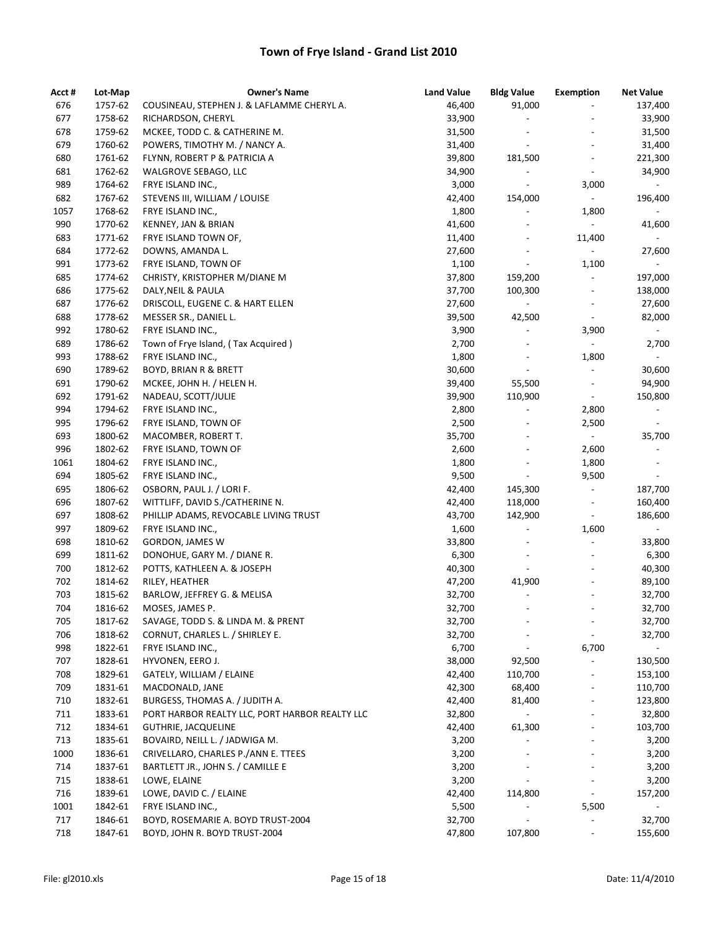| Acct # | Lot-Map | <b>Owner's Name</b>                            | <b>Land Value</b> | <b>Bldg Value</b>        | <b>Exemption</b>         | <b>Net Value</b>         |
|--------|---------|------------------------------------------------|-------------------|--------------------------|--------------------------|--------------------------|
| 676    | 1757-62 | COUSINEAU, STEPHEN J. & LAFLAMME CHERYL A.     | 46,400            | 91,000                   | $\overline{\phantom{a}}$ | 137,400                  |
| 677    | 1758-62 | RICHARDSON, CHERYL                             | 33,900            | $\overline{\phantom{a}}$ |                          | 33,900                   |
| 678    | 1759-62 | MCKEE, TODD C. & CATHERINE M.                  | 31,500            |                          |                          | 31,500                   |
| 679    | 1760-62 | POWERS, TIMOTHY M. / NANCY A.                  | 31,400            | $\overline{\phantom{a}}$ | $\overline{\phantom{a}}$ | 31,400                   |
| 680    | 1761-62 | FLYNN, ROBERT P & PATRICIA A                   | 39,800            | 181,500                  | $\frac{1}{2}$            | 221,300                  |
| 681    | 1762-62 | WALGROVE SEBAGO, LLC                           | 34,900            |                          | $\overline{\phantom{a}}$ | 34,900                   |
| 989    | 1764-62 | FRYE ISLAND INC.,                              | 3,000             |                          | 3,000                    | $\overline{\phantom{a}}$ |
| 682    | 1767-62 | STEVENS III, WILLIAM / LOUISE                  | 42,400            | 154,000                  | $\overline{\phantom{a}}$ | 196,400                  |
| 1057   | 1768-62 | FRYE ISLAND INC.,                              | 1,800             | $\overline{\phantom{a}}$ | 1,800                    | $\sim$                   |
| 990    | 1770-62 | KENNEY, JAN & BRIAN                            | 41,600            |                          | $\blacksquare$           | 41,600                   |
| 683    | 1771-62 | FRYE ISLAND TOWN OF,                           | 11,400            |                          | 11,400                   | $\sim$                   |
| 684    | 1772-62 | DOWNS, AMANDA L.                               | 27,600            |                          | $\overline{\phantom{a}}$ | 27,600                   |
| 991    | 1773-62 | FRYE ISLAND, TOWN OF                           | 1,100             | $\overline{\phantom{0}}$ | 1,100                    | $\overline{\phantom{a}}$ |
| 685    | 1774-62 | CHRISTY, KRISTOPHER M/DIANE M                  | 37,800            | 159,200                  | $\overline{\phantom{a}}$ | 197,000                  |
| 686    | 1775-62 | DALY, NEIL & PAULA                             | 37,700            | 100,300                  | $\overline{a}$           | 138,000                  |
| 687    | 1776-62 | DRISCOLL, EUGENE C. & HART ELLEN               | 27,600            | $\frac{1}{2}$            | $\overline{\phantom{a}}$ | 27,600                   |
| 688    | 1778-62 | MESSER SR., DANIEL L.                          | 39,500            | 42,500                   | $\blacksquare$           | 82,000                   |
| 992    | 1780-62 | FRYE ISLAND INC.,                              | 3,900             | $\overline{\phantom{a}}$ | 3,900                    | $\blacksquare$           |
| 689    | 1786-62 | Town of Frye Island, (Tax Acquired)            | 2,700             |                          | $\omega_{\rm c}$         | 2,700                    |
| 993    | 1788-62 | FRYE ISLAND INC.,                              | 1,800             |                          | 1,800                    | $\sim$                   |
| 690    | 1789-62 | <b>BOYD, BRIAN R &amp; BRETT</b>               | 30,600            | $\overline{\phantom{0}}$ | $\Box$                   | 30,600                   |
| 691    | 1790-62 | MCKEE, JOHN H. / HELEN H.                      | 39,400            | 55,500                   | $\overline{\phantom{a}}$ | 94,900                   |
| 692    | 1791-62 | NADEAU, SCOTT/JULIE                            | 39,900            | 110,900                  | $\overline{\phantom{a}}$ | 150,800                  |
| 994    | 1794-62 | FRYE ISLAND INC.,                              | 2,800             | $\overline{\phantom{a}}$ | 2,800                    | $\overline{\phantom{a}}$ |
| 995    | 1796-62 | FRYE ISLAND, TOWN OF                           | 2,500             |                          | 2,500                    | $\overline{\phantom{a}}$ |
| 693    | 1800-62 | MACOMBER, ROBERT T.                            | 35,700            |                          | $\blacksquare$           | 35,700                   |
| 996    | 1802-62 | FRYE ISLAND, TOWN OF                           | 2,600             |                          | 2,600                    | $\overline{\phantom{a}}$ |
| 1061   | 1804-62 | FRYE ISLAND INC.,                              | 1,800             |                          | 1,800                    | $\overline{\phantom{a}}$ |
| 694    | 1805-62 | FRYE ISLAND INC.,                              | 9,500             | $\overline{\phantom{a}}$ | 9,500                    | $\blacksquare$           |
| 695    | 1806-62 | OSBORN, PAUL J. / LORI F.                      | 42,400            | 145,300                  | $\overline{\phantom{a}}$ | 187,700                  |
| 696    | 1807-62 | WITTLIFF, DAVID S./CATHERINE N.                | 42,400            | 118,000                  | $\overline{\phantom{a}}$ | 160,400                  |
| 697    | 1808-62 | PHILLIP ADAMS, REVOCABLE LIVING TRUST          | 43,700            | 142,900                  | $\overline{\phantom{a}}$ | 186,600                  |
| 997    | 1809-62 | FRYE ISLAND INC.,                              | 1,600             |                          | 1,600                    |                          |
| 698    | 1810-62 | <b>GORDON, JAMES W</b>                         | 33,800            | $\overline{\phantom{a}}$ | $\overline{\phantom{a}}$ | 33,800                   |
| 699    | 1811-62 | DONOHUE, GARY M. / DIANE R.                    | 6,300             |                          | $\overline{a}$           | 6,300                    |
| 700    | 1812-62 | POTTS, KATHLEEN A. & JOSEPH                    | 40,300            | $\overline{\phantom{a}}$ |                          | 40,300                   |
| 702    | 1814-62 | RILEY, HEATHER                                 | 47,200            | 41,900                   | $\overline{\phantom{a}}$ | 89,100                   |
| 703    | 1815-62 | BARLOW, JEFFREY G. & MELISA                    | 32,700            | $\overline{\phantom{0}}$ | $\frac{1}{2}$            | 32,700                   |
| 704    | 1816-62 | MOSES, JAMES P.                                | 32,700            |                          |                          | 32,700                   |
| 705    | 1817-62 | SAVAGE, TODD S. & LINDA M. & PRENT             | 32,700            |                          | $\overline{\phantom{m}}$ | 32,700                   |
| 706    | 1818-62 | CORNUT, CHARLES L. / SHIRLEY E.                | 32,700            |                          | $\overline{\phantom{a}}$ | 32,700                   |
| 998    | 1822-61 | FRYE ISLAND INC.,                              | 6,700             | $\overline{\phantom{a}}$ | 6,700                    | $ \,$                    |
| 707    | 1828-61 | HYVONEN, EERO J.                               | 38,000            | 92,500                   | $\overline{a}$           | 130,500                  |
| 708    | 1829-61 | GATELY, WILLIAM / ELAINE                       | 42,400            | 110,700                  |                          | 153,100                  |
| 709    | 1831-61 | MACDONALD, JANE                                | 42,300            | 68,400                   |                          | 110,700                  |
| 710    | 1832-61 | BURGESS, THOMAS A. / JUDITH A.                 | 42,400            | 81,400                   | $\overline{\phantom{a}}$ | 123,800                  |
| 711    | 1833-61 | PORT HARBOR REALTY LLC, PORT HARBOR REALTY LLC | 32,800            |                          |                          | 32,800                   |
| 712    | 1834-61 | <b>GUTHRIE, JACQUELINE</b>                     | 42,400            | 61,300                   |                          | 103,700                  |
| 713    | 1835-61 | BOVAIRD, NEILL L. / JADWIGA M.                 | 3,200             |                          |                          | 3,200                    |
| 1000   | 1836-61 | CRIVELLARO, CHARLES P./ANN E. TTEES            | 3,200             |                          |                          | 3,200                    |
| 714    | 1837-61 | BARTLETT JR., JOHN S. / CAMILLE E              | 3,200             |                          |                          | 3,200                    |
| 715    | 1838-61 | LOWE, ELAINE                                   | 3,200             | $\overline{\phantom{a}}$ |                          | 3,200                    |
| 716    | 1839-61 | LOWE, DAVID C. / ELAINE                        | 42,400            | 114,800                  | $\overline{\phantom{a}}$ | 157,200                  |
| 1001   | 1842-61 | FRYE ISLAND INC.,                              | 5,500             |                          | 5,500                    |                          |
| 717    | 1846-61 | BOYD, ROSEMARIE A. BOYD TRUST-2004             | 32,700            |                          |                          | 32,700                   |
| 718    | 1847-61 | BOYD, JOHN R. BOYD TRUST-2004                  | 47,800            | 107,800                  | $\overline{\phantom{a}}$ | 155,600                  |
|        |         |                                                |                   |                          |                          |                          |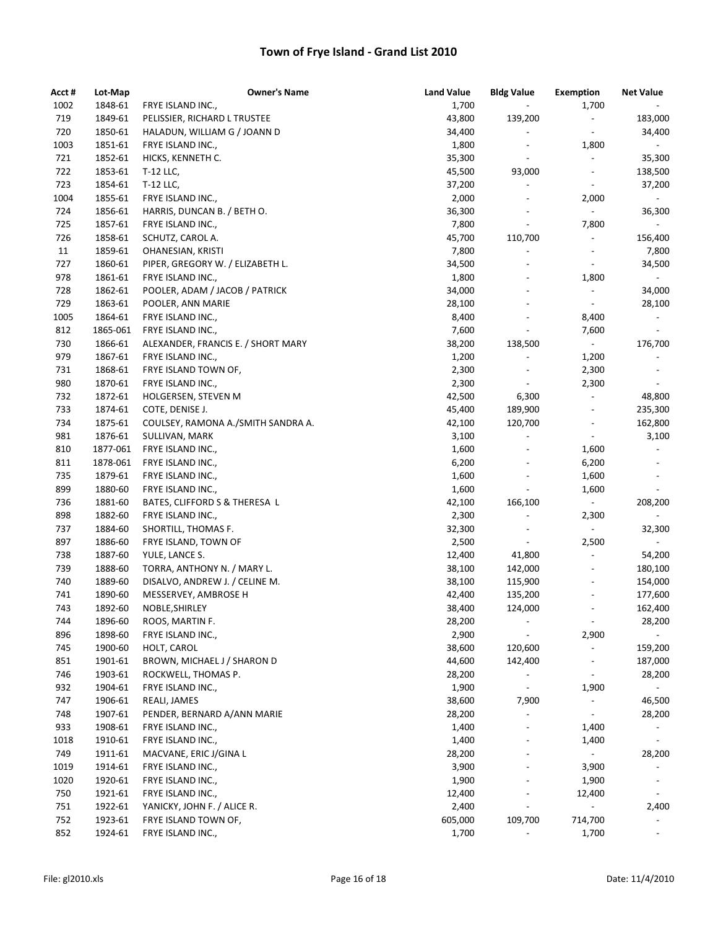| Acct # | Lot-Map  | <b>Owner's Name</b>                | <b>Land Value</b> | <b>Bldg Value</b>            | <b>Exemption</b>             | <b>Net Value</b>         |
|--------|----------|------------------------------------|-------------------|------------------------------|------------------------------|--------------------------|
| 1002   | 1848-61  | FRYE ISLAND INC.,                  | 1,700             | $\blacksquare$               | 1,700                        |                          |
| 719    | 1849-61  | PELISSIER, RICHARD L TRUSTEE       | 43,800            | 139,200                      | $\overline{\phantom{a}}$     | 183,000                  |
| 720    | 1850-61  | HALADUN, WILLIAM G / JOANN D       | 34,400            | $\overline{\phantom{0}}$     | $\overline{\phantom{a}}$     | 34,400                   |
| 1003   | 1851-61  | FRYE ISLAND INC.,                  | 1,800             | $\overline{\phantom{a}}$     | 1,800                        | $\sim$                   |
| 721    | 1852-61  | HICKS, KENNETH C.                  | 35,300            | $\overline{\phantom{a}}$     | $\overline{\phantom{a}}$     | 35,300                   |
| 722    | 1853-61  | T-12 LLC,                          | 45,500            | 93,000                       |                              | 138,500                  |
| 723    | 1854-61  | T-12 LLC,                          | 37,200            | $\qquad \qquad \blacksquare$ |                              | 37,200                   |
| 1004   | 1855-61  | FRYE ISLAND INC.,                  | 2,000             | $\overline{\phantom{a}}$     | 2,000                        | $\sim$                   |
| 724    | 1856-61  | HARRIS, DUNCAN B. / BETH O.        | 36,300            | $\overline{\phantom{a}}$     | $\overline{\phantom{a}}$     | 36,300                   |
| 725    | 1857-61  | FRYE ISLAND INC.,                  | 7,800             | $\overline{\phantom{0}}$     | 7,800                        | $\sim$                   |
| 726    | 1858-61  | SCHUTZ, CAROL A.                   | 45,700            | 110,700                      | $\overline{\phantom{a}}$     | 156,400                  |
| 11     | 1859-61  | OHANESIAN, KRISTI                  | 7,800             | $\qquad \qquad \blacksquare$ | $\overline{\phantom{a}}$     | 7,800                    |
| 727    | 1860-61  | PIPER, GREGORY W. / ELIZABETH L.   | 34,500            | $\overline{\phantom{a}}$     | $\overline{\phantom{a}}$     | 34,500                   |
| 978    | 1861-61  | FRYE ISLAND INC.,                  | 1,800             | $\qquad \qquad \blacksquare$ | 1,800                        | $\blacksquare$           |
| 728    | 1862-61  | POOLER, ADAM / JACOB / PATRICK     | 34,000            | $\overline{\phantom{a}}$     |                              | 34,000                   |
| 729    | 1863-61  | POOLER, ANN MARIE                  | 28,100            | $\frac{1}{2}$                | $\overline{\phantom{a}}$     | 28,100                   |
| 1005   | 1864-61  | FRYE ISLAND INC.,                  | 8,400             | $\overline{\phantom{0}}$     | 8,400                        | $ \,$                    |
| 812    | 1865-061 | FRYE ISLAND INC.,                  | 7,600             | $\frac{1}{2}$                | 7,600                        | $\overline{\phantom{a}}$ |
| 730    | 1866-61  | ALEXANDER, FRANCIS E. / SHORT MARY | 38,200            | 138,500                      | $\sim$                       | 176,700                  |
| 979    | 1867-61  | FRYE ISLAND INC.,                  | 1,200             | $\qquad \qquad \blacksquare$ | 1,200                        | $\overline{\phantom{a}}$ |
| 731    | 1868-61  | FRYE ISLAND TOWN OF,               | 2,300             | $\overline{\phantom{a}}$     | 2,300                        | $\overline{\phantom{a}}$ |
| 980    | 1870-61  | FRYE ISLAND INC.,                  | 2,300             | $\qquad \qquad \blacksquare$ | 2,300                        | $\overline{\phantom{a}}$ |
| 732    | 1872-61  | HOLGERSEN, STEVEN M                | 42,500            | 6,300                        | $\overline{\phantom{a}}$     | 48,800                   |
| 733    | 1874-61  | COTE, DENISE J.                    | 45,400            | 189,900                      |                              | 235,300                  |
| 734    | 1875-61  | COULSEY, RAMONA A./SMITH SANDRA A. | 42,100            | 120,700                      | $\overline{\phantom{a}}$     | 162,800                  |
| 981    | 1876-61  | SULLIVAN, MARK                     | 3,100             | $\overline{\phantom{a}}$     | $\blacksquare$               | 3,100                    |
| 810    | 1877-061 | FRYE ISLAND INC.,                  | 1,600             | $\qquad \qquad \blacksquare$ | 1,600                        | $\overline{\phantom{a}}$ |
| 811    | 1878-061 | FRYE ISLAND INC.,                  | 6,200             | $\qquad \qquad \blacksquare$ | 6,200                        |                          |
| 735    | 1879-61  | FRYE ISLAND INC.,                  | 1,600             | $\overline{\phantom{a}}$     | 1,600                        | $\overline{\phantom{a}}$ |
| 899    | 1880-60  | FRYE ISLAND INC.,                  | 1,600             | $\overline{\phantom{0}}$     | 1,600                        |                          |
| 736    | 1881-60  | BATES, CLIFFORD S & THERESA L      | 42,100            | 166,100                      |                              | 208,200                  |
| 898    | 1882-60  | FRYE ISLAND INC.,                  | 2,300             |                              | 2,300                        |                          |
| 737    | 1884-60  | SHORTILL, THOMAS F.                | 32,300            |                              | $\overline{\phantom{a}}$     | 32,300                   |
| 897    | 1886-60  | FRYE ISLAND, TOWN OF               | 2,500             | $\overline{\phantom{a}}$     | 2,500                        | $\overline{\phantom{a}}$ |
| 738    | 1887-60  | YULE, LANCE S.                     | 12,400            | 41,800                       | $\overline{\phantom{a}}$     | 54,200                   |
| 739    | 1888-60  | TORRA, ANTHONY N. / MARY L.        | 38,100            | 142,000                      |                              | 180,100                  |
| 740    | 1889-60  | DISALVO, ANDREW J. / CELINE M.     | 38,100            | 115,900                      |                              | 154,000                  |
| 741    | 1890-60  | MESSERVEY, AMBROSE H               | 42,400            | 135,200                      |                              | 177,600                  |
| 743    | 1892-60  | NOBLE, SHIRLEY                     | 38,400            | 124,000                      |                              | 162,400                  |
| 744    | 1896-60  | ROOS, MARTIN F.                    | 28,200            | $\qquad \qquad \blacksquare$ | $\overline{\phantom{a}}$     | 28,200                   |
| 896    | 1898-60  | FRYE ISLAND INC.,                  | 2,900             |                              | 2,900                        | $\sim$                   |
| 745    | 1900-60  | HOLT, CAROL                        | 38,600            | 120,600                      | $\overline{\phantom{a}}$     | 159,200                  |
| 851    | 1901-61  | BROWN, MICHAEL J / SHARON D        | 44,600            | 142,400                      |                              | 187,000                  |
| 746    | 1903-61  | ROCKWELL, THOMAS P.                | 28,200            | $\overline{\phantom{a}}$     | $\overline{\phantom{a}}$     | 28,200                   |
| 932    | 1904-61  | FRYE ISLAND INC.,                  | 1,900             | $\qquad \qquad \blacksquare$ | 1,900                        | $\sim$                   |
| 747    | 1906-61  | REALI, JAMES                       | 38,600            | 7,900                        | $\overline{\phantom{a}}$     | 46,500                   |
| 748    | 1907-61  | PENDER, BERNARD A/ANN MARIE        | 28,200            | $\qquad \qquad \blacksquare$ | $\qquad \qquad \blacksquare$ | 28,200                   |
| 933    | 1908-61  | FRYE ISLAND INC.,                  | 1,400             | $\overline{\phantom{0}}$     | 1,400                        |                          |
| 1018   | 1910-61  | FRYE ISLAND INC.,                  | 1,400             |                              | 1,400                        |                          |
| 749    | 1911-61  | MACVANE, ERIC J/GINA L             | 28,200            |                              | $\overline{\phantom{a}}$     | 28,200                   |
| 1019   | 1914-61  | FRYE ISLAND INC.,                  | 3,900             |                              | 3,900                        |                          |
| 1020   | 1920-61  | FRYE ISLAND INC.,                  | 1,900             |                              | 1,900                        |                          |
| 750    | 1921-61  | FRYE ISLAND INC.,                  | 12,400            |                              | 12,400                       |                          |
| 751    | 1922-61  | YANICKY, JOHN F. / ALICE R.        | 2,400             |                              |                              | 2,400                    |
| 752    | 1923-61  | FRYE ISLAND TOWN OF,               | 605,000           | 109,700                      | 714,700                      |                          |
| 852    | 1924-61  | FRYE ISLAND INC.,                  | 1,700             |                              | 1,700                        |                          |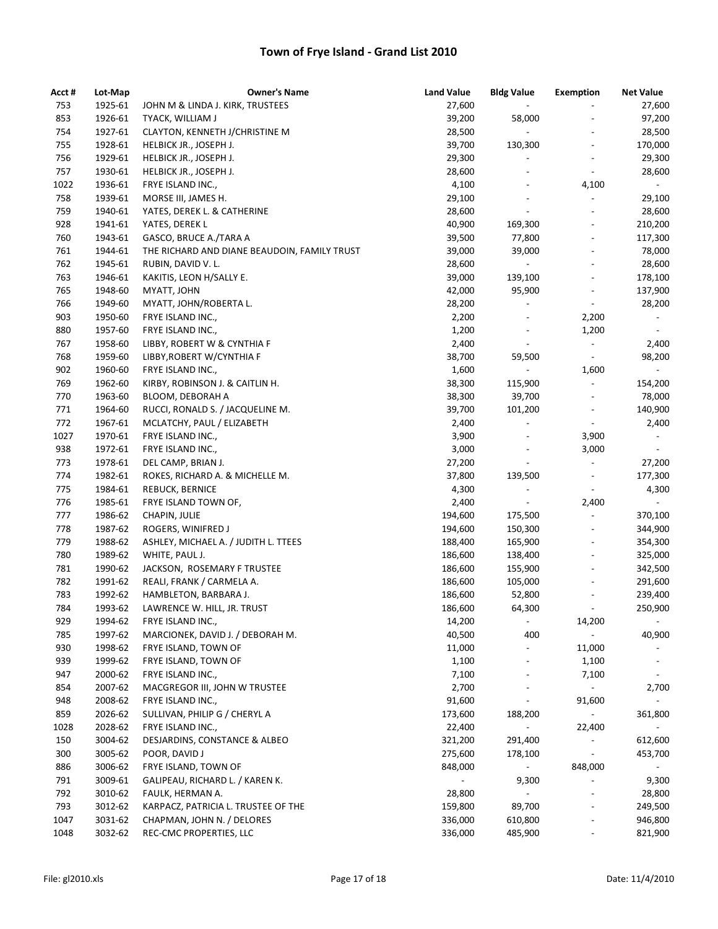| Acct # | Lot-Map | <b>Owner's Name</b>                          | <b>Land Value</b>        | <b>Bldg Value</b>        | <b>Exemption</b>             | <b>Net Value</b>         |
|--------|---------|----------------------------------------------|--------------------------|--------------------------|------------------------------|--------------------------|
| 753    | 1925-61 | JOHN M & LINDA J. KIRK, TRUSTEES             | 27,600                   | $\overline{\phantom{a}}$ | $\overline{\phantom{a}}$     | 27,600                   |
| 853    | 1926-61 | TYACK, WILLIAM J                             | 39,200                   | 58,000                   |                              | 97,200                   |
| 754    | 1927-61 | CLAYTON, KENNETH J/CHRISTINE M               | 28,500                   | $\sim$                   | $\overline{a}$               | 28,500                   |
| 755    | 1928-61 | HELBICK JR., JOSEPH J.                       | 39,700                   | 130,300                  | $\overline{\phantom{a}}$     | 170,000                  |
| 756    | 1929-61 | HELBICK JR., JOSEPH J.                       | 29,300                   | $\overline{\phantom{a}}$ | $\overline{\phantom{a}}$     | 29,300                   |
| 757    | 1930-61 | HELBICK JR., JOSEPH J.                       | 28,600                   | $\overline{\phantom{a}}$ | $\overline{\phantom{a}}$     | 28,600                   |
| 1022   | 1936-61 | FRYE ISLAND INC.,                            | 4,100                    | $\overline{a}$           | 4,100                        | $\blacksquare$           |
| 758    | 1939-61 | MORSE III, JAMES H.                          | 29,100                   |                          | $\overline{\phantom{a}}$     | 29,100                   |
| 759    | 1940-61 | YATES, DEREK L. & CATHERINE                  | 28,600                   | $\overline{\phantom{a}}$ | $\overline{\phantom{a}}$     | 28,600                   |
| 928    | 1941-61 | YATES, DEREK L                               | 40,900                   | 169,300                  | $\overline{\phantom{a}}$     | 210,200                  |
| 760    | 1943-61 | GASCO, BRUCE A./TARA A                       | 39,500                   | 77,800                   | $\overline{\phantom{a}}$     | 117,300                  |
| 761    | 1944-61 | THE RICHARD AND DIANE BEAUDOIN, FAMILY TRUST | 39,000                   | 39,000                   | $\qquad \qquad \blacksquare$ | 78,000                   |
| 762    | 1945-61 | RUBIN, DAVID V. L.                           | 28,600                   | $\blacksquare$           | $\overline{\phantom{a}}$     | 28,600                   |
| 763    | 1946-61 | KAKITIS, LEON H/SALLY E.                     | 39,000                   | 139,100                  | $\overline{\phantom{a}}$     | 178,100                  |
| 765    | 1948-60 | MYATT, JOHN                                  | 42,000                   | 95,900                   | $\qquad \qquad \blacksquare$ | 137,900                  |
| 766    | 1949-60 | MYATT, JOHN/ROBERTA L.                       | 28,200                   |                          | $\overline{\phantom{a}}$     | 28,200                   |
| 903    | 1950-60 | FRYE ISLAND INC.,                            | 2,200                    | $\overline{\phantom{a}}$ | 2,200                        | $\overline{\phantom{a}}$ |
| 880    | 1957-60 | FRYE ISLAND INC.,                            | 1,200                    | $\overline{\phantom{a}}$ | 1,200                        |                          |
| 767    | 1958-60 | LIBBY, ROBERT W & CYNTHIA F                  | 2,400                    | $\blacksquare$           | $\overline{\phantom{a}}$     | 2,400                    |
| 768    | 1959-60 | LIBBY, ROBERT W/CYNTHIA F                    | 38,700                   | 59,500                   | $\overline{\phantom{a}}$     | 98,200                   |
| 902    | 1960-60 | FRYE ISLAND INC.,                            | 1,600                    | $\blacksquare$           | 1,600                        | $\sim$                   |
| 769    | 1962-60 | KIRBY, ROBINSON J. & CAITLIN H.              | 38,300                   | 115,900                  | $\overline{\phantom{a}}$     | 154,200                  |
| 770    | 1963-60 | BLOOM, DEBORAH A                             | 38,300                   | 39,700                   | $\overline{\phantom{a}}$     | 78,000                   |
| 771    | 1964-60 | RUCCI, RONALD S. / JACQUELINE M.             | 39,700                   | 101,200                  | $\frac{1}{2}$                | 140,900                  |
| 772    | 1967-61 | MCLATCHY, PAUL / ELIZABETH                   | 2,400                    | $\overline{\phantom{a}}$ | $\overline{\phantom{a}}$     | 2,400                    |
| 1027   | 1970-61 | FRYE ISLAND INC.,                            | 3,900                    | $\overline{a}$           | 3,900                        | $ \,$                    |
| 938    | 1972-61 | FRYE ISLAND INC.,                            | 3,000                    | $\overline{a}$           | 3,000                        | $\blacksquare$           |
| 773    | 1978-61 | DEL CAMP, BRIAN J.                           | 27,200                   | $\overline{\phantom{a}}$ | $\overline{\phantom{a}}$     | 27,200                   |
| 774    | 1982-61 | ROKES, RICHARD A. & MICHELLE M.              | 37,800                   | 139,500                  | $\overline{\phantom{a}}$     | 177,300                  |
| 775    | 1984-61 | REBUCK, BERNICE                              | 4,300                    | $\overline{\phantom{a}}$ | $\overline{\phantom{a}}$     | 4,300                    |
| 776    | 1985-61 | FRYE ISLAND TOWN OF,                         | 2,400                    | $\overline{\phantom{a}}$ | 2,400                        | $\blacksquare$           |
| 777    | 1986-62 | CHAPIN, JULIE                                | 194,600                  | 175,500                  | $\frac{1}{2}$                | 370,100                  |
| 778    | 1987-62 | ROGERS, WINIFRED J                           | 194,600                  | 150,300                  |                              | 344,900                  |
| 779    | 1988-62 | ASHLEY, MICHAEL A. / JUDITH L. TTEES         | 188,400                  | 165,900                  | $\overline{\phantom{a}}$     | 354,300                  |
| 780    | 1989-62 | WHITE, PAUL J.                               | 186,600                  | 138,400                  | $\overline{\phantom{a}}$     | 325,000                  |
| 781    | 1990-62 | JACKSON, ROSEMARY F TRUSTEE                  | 186,600                  | 155,900                  | $\qquad \qquad \blacksquare$ | 342,500                  |
| 782    | 1991-62 | REALI, FRANK / CARMELA A.                    | 186,600                  | 105,000                  | $\overline{\phantom{a}}$     | 291,600                  |
| 783    | 1992-62 | HAMBLETON, BARBARA J.                        | 186,600                  | 52,800                   | $\overline{\phantom{a}}$     | 239,400                  |
| 784    | 1993-62 | LAWRENCE W. HILL, JR. TRUST                  | 186,600                  | 64,300                   |                              | 250,900                  |
| 929    | 1994-62 | FRYE ISLAND INC.,                            | 14,200                   | $\blacksquare$           | 14,200                       |                          |
| 785    | 1997-62 | MARCIONEK, DAVID J. / DEBORAH M.             | 40,500                   | 400                      | $\overline{\phantom{a}}$     | 40,900                   |
| 930    | 1998-62 | FRYE ISLAND, TOWN OF                         | 11,000                   | $\overline{\phantom{a}}$ | 11,000                       |                          |
| 939    | 1999-62 | FRYE ISLAND, TOWN OF                         | 1,100                    |                          | 1,100                        |                          |
| 947    | 2000-62 | FRYE ISLAND INC.,                            | 7,100                    |                          | 7,100                        | $\overline{\phantom{a}}$ |
| 854    | 2007-62 | MACGREGOR III, JOHN W TRUSTEE                | 2,700                    |                          | $\blacksquare$               | 2,700                    |
| 948    | 2008-62 | FRYE ISLAND INC.,                            | 91,600                   | $\overline{\phantom{a}}$ | 91,600                       | $\sim$                   |
| 859    | 2026-62 | SULLIVAN, PHILIP G / CHERYL A                | 173,600                  | 188,200                  | $\blacksquare$               | 361,800                  |
| 1028   | 2028-62 | FRYE ISLAND INC.,                            | 22,400                   |                          | 22,400                       | $\overline{\phantom{a}}$ |
| 150    | 3004-62 | DESJARDINS, CONSTANCE & ALBEO                | 321,200                  | 291,400                  | $\overline{\phantom{a}}$     | 612,600                  |
| 300    | 3005-62 | POOR, DAVID J                                | 275,600                  | 178,100                  | $\overline{\phantom{a}}$     | 453,700                  |
| 886    | 3006-62 | FRYE ISLAND, TOWN OF                         | 848,000                  | $\overline{\phantom{a}}$ | 848,000                      |                          |
| 791    | 3009-61 | GALIPEAU, RICHARD L. / KAREN K.              | $\overline{\phantom{a}}$ | 9,300                    |                              | 9,300                    |
| 792    | 3010-62 | FAULK, HERMAN A.                             | 28,800                   | $\blacksquare$           | $\overline{\phantom{a}}$     | 28,800                   |
| 793    | 3012-62 | KARPACZ, PATRICIA L. TRUSTEE OF THE          | 159,800                  | 89,700                   | $\overline{\phantom{a}}$     | 249,500                  |
| 1047   | 3031-62 | CHAPMAN, JOHN N. / DELORES                   | 336,000                  | 610,800                  | $\qquad \qquad \blacksquare$ | 946,800                  |
| 1048   | 3032-62 | REC-CMC PROPERTIES, LLC                      | 336,000                  | 485,900                  | $\overline{\phantom{a}}$     | 821,900                  |
|        |         |                                              |                          |                          |                              |                          |